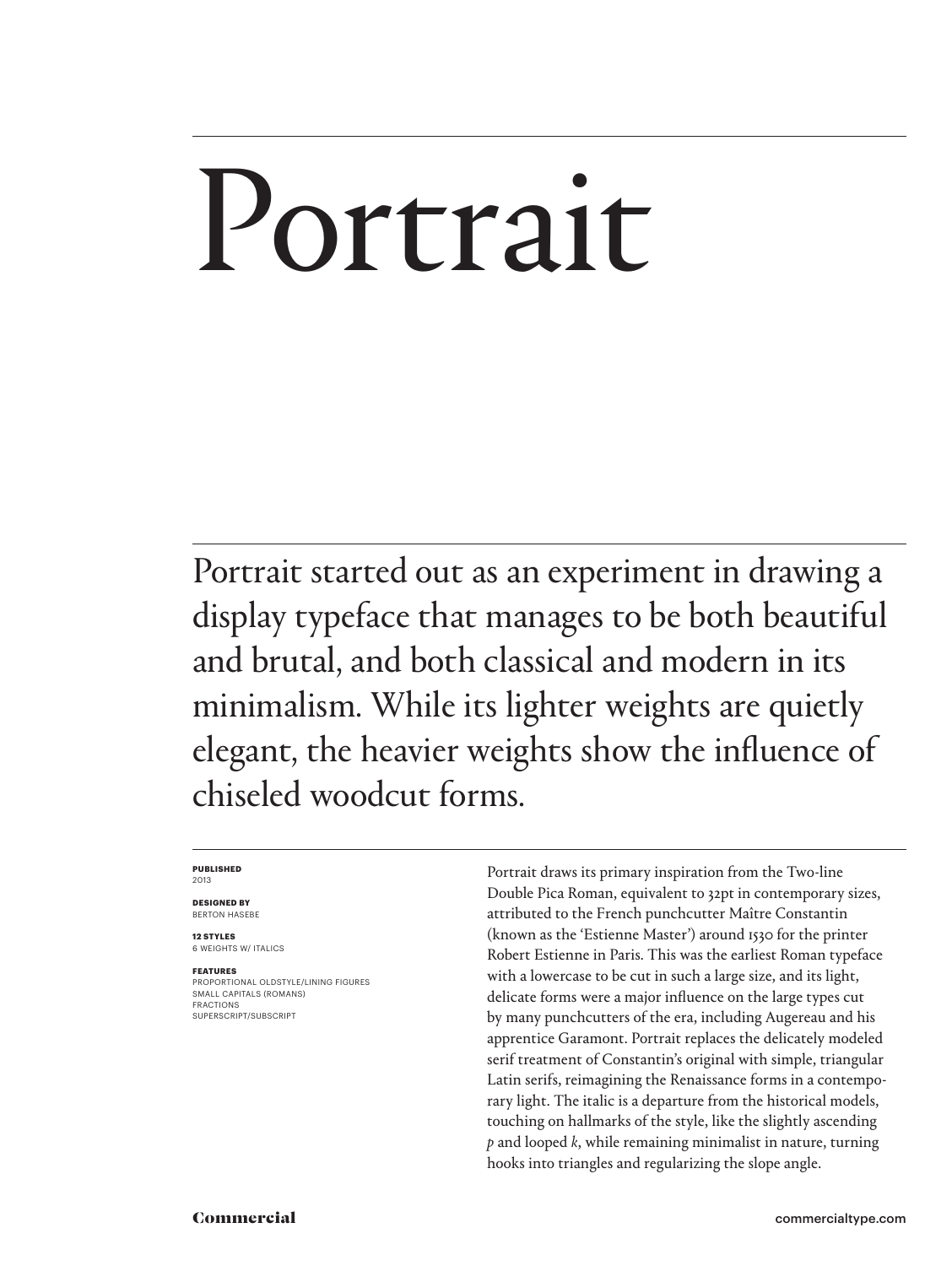# Portrait

Portrait started out as an experiment in drawing a display typeface that manages to be both beautiful and brutal, and both classical and modern in its minimalism. While its lighter weights are quietly elegant, the heavier weights show the influence of chiseled woodcut forms.

#### **PUBLISHED** 2013

**DESIGNED BY** BERTON HASEBE

**12 STYLES** 6 WEIGHTS W/ ITALICS

**FEATURES** PROPORTIONAL OLDSTYLE/LINING FIGURES SMALL CAPITALS (ROMANS) FRACTIONS SUPERSCRIPT/SUBSCRIPT

Portrait draws its primary inspiration from the Two-line Double Pica Roman, equivalent to 32pt in contemporary sizes, attributed to the French punchcutter Maître Constantin (known as the 'Estienne Master') around 1530 for the printer Robert Estienne in Paris. This was the earliest Roman typeface with a lowercase to be cut in such a large size, and its light, delicate forms were a major influence on the large types cut by many punchcutters of the era, including Augereau and his apprentice Garamont. Portrait replaces the delicately modeled serif treatment of Constantin's original with simple, triangular Latin serifs, reimagining the Renaissance forms in a contemporary light. The italic is a departure from the historical models, touching on hallmarks of the style, like the slightly ascending *p* and looped *k*, while remaining minimalist in nature, turning hooks into triangles and regularizing the slope angle.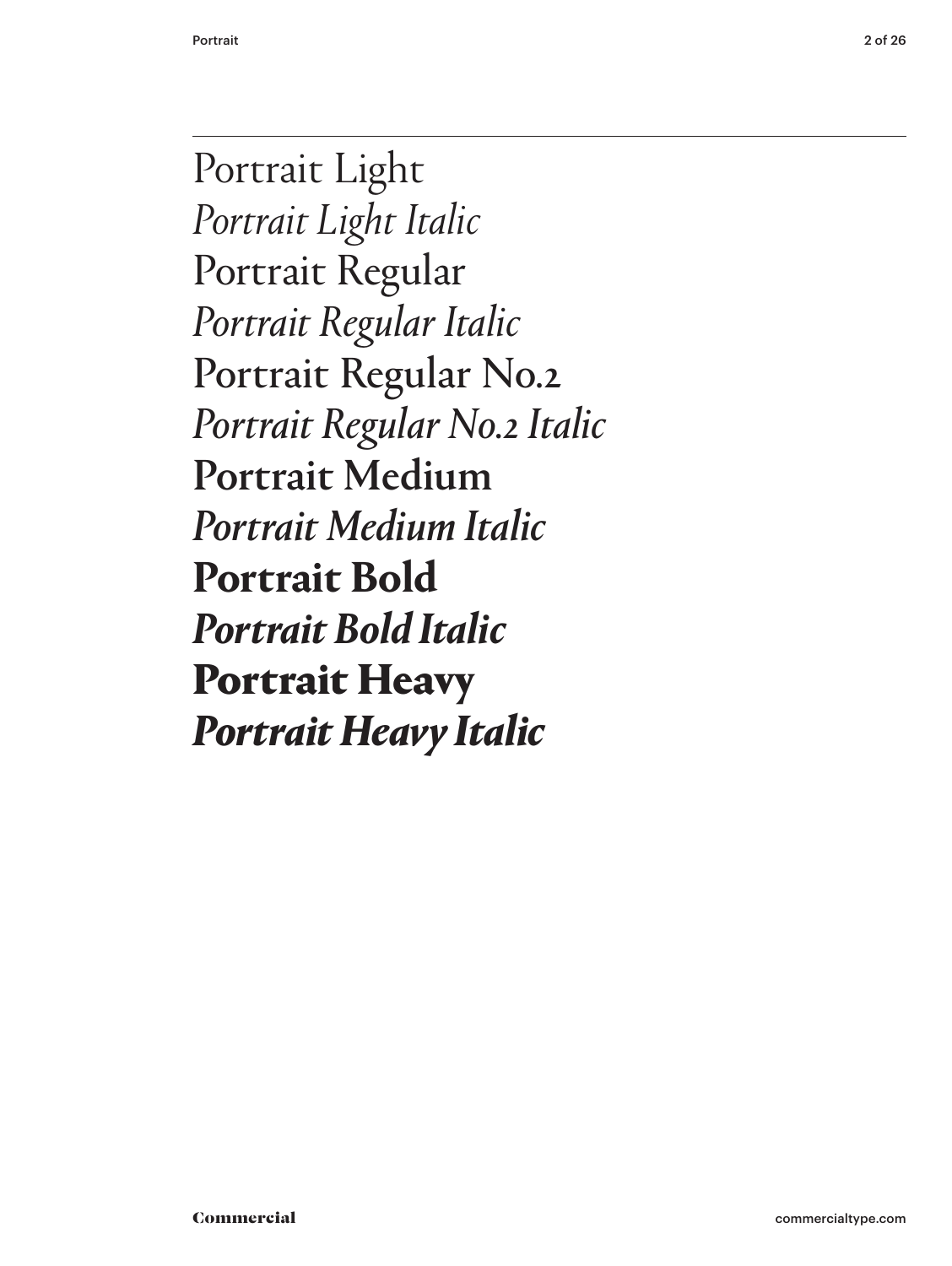Portrait Light *Portrait Light Italic* Portrait Regular *Portrait Regular Italic* Portrait Regular No.2 *Portrait Regular No.2 Italic* Portrait Medium *Portrait Medium Italic* **Portrait Bold** *Portrait Bold Italic* Portrait Heavy *Portrait Heavy Italic*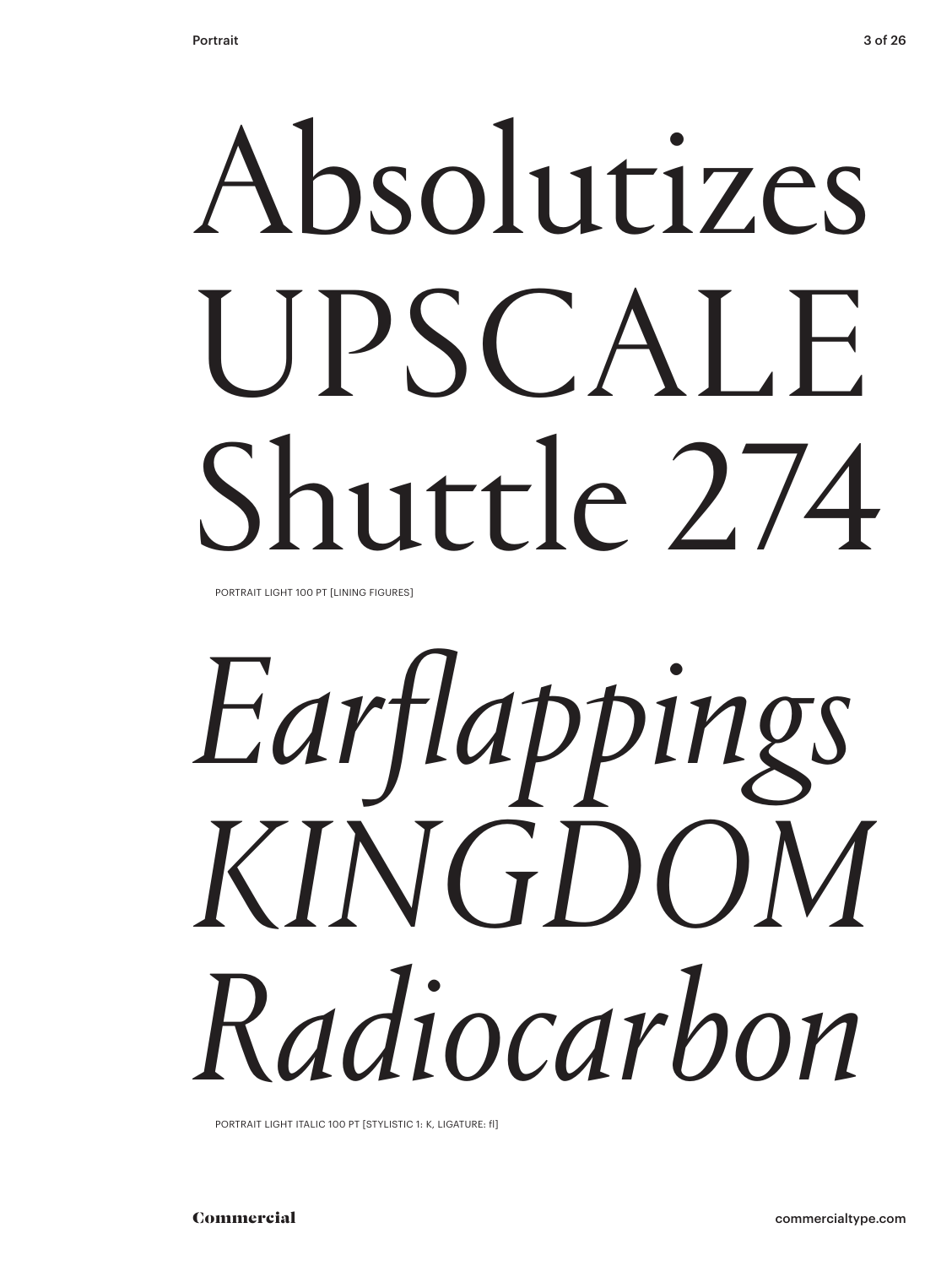# Absolutizes UPSCALE Shuttle 2.74

PORTRAIT LIGHT 100 PT [LINING FIGURES]



PORTRAIT LIGHT ITALIC 100 PT [STYLISTIC 1: K, LIGATURE: fl]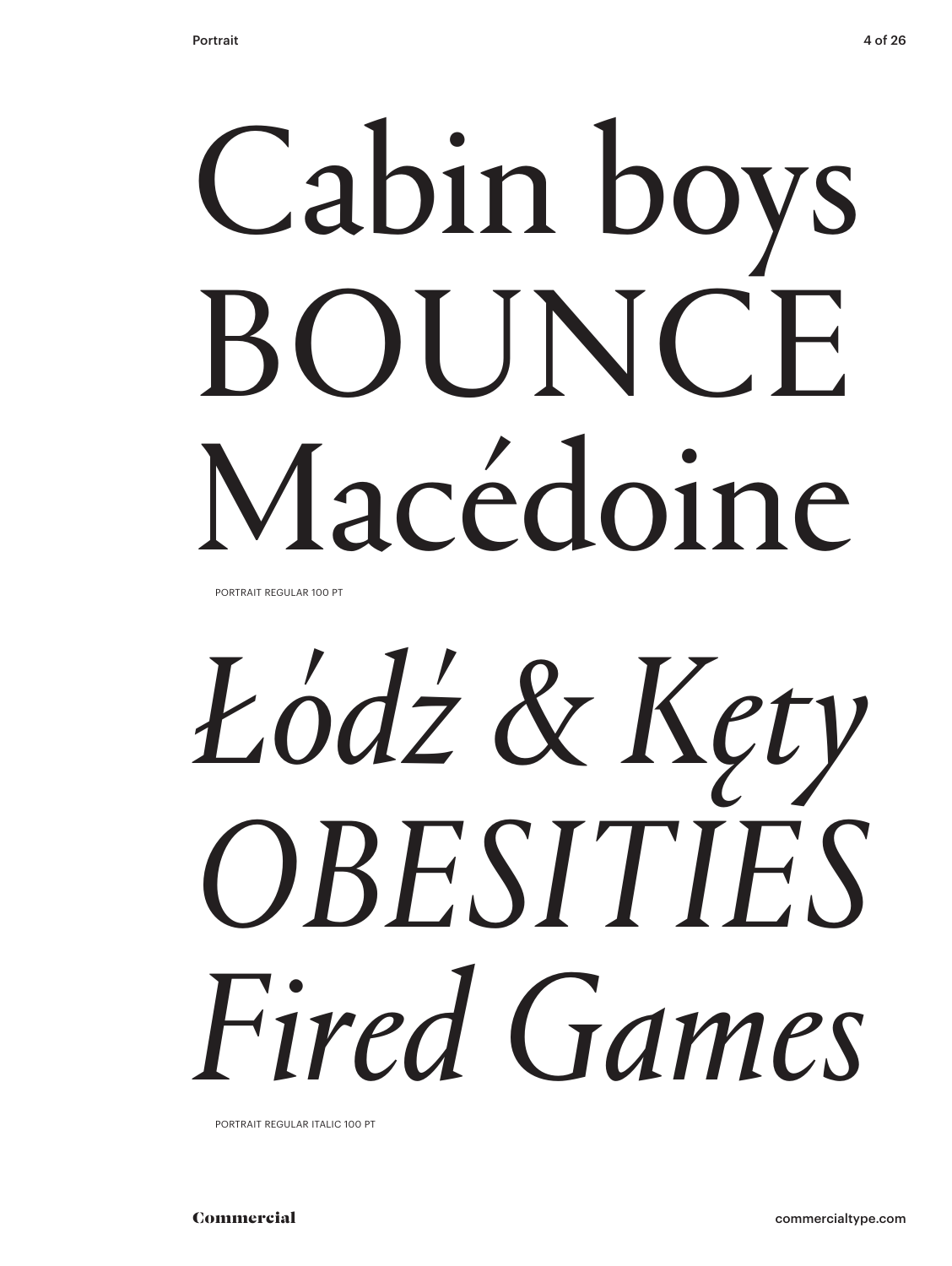# Cabin boys BOUNCE Macédoine

PORTRAIT REGULAR 100 PT

# *Łódź & Kęty OBESITIES Fired Games*

PORTRAIT REGULAR ITALIC 100 PT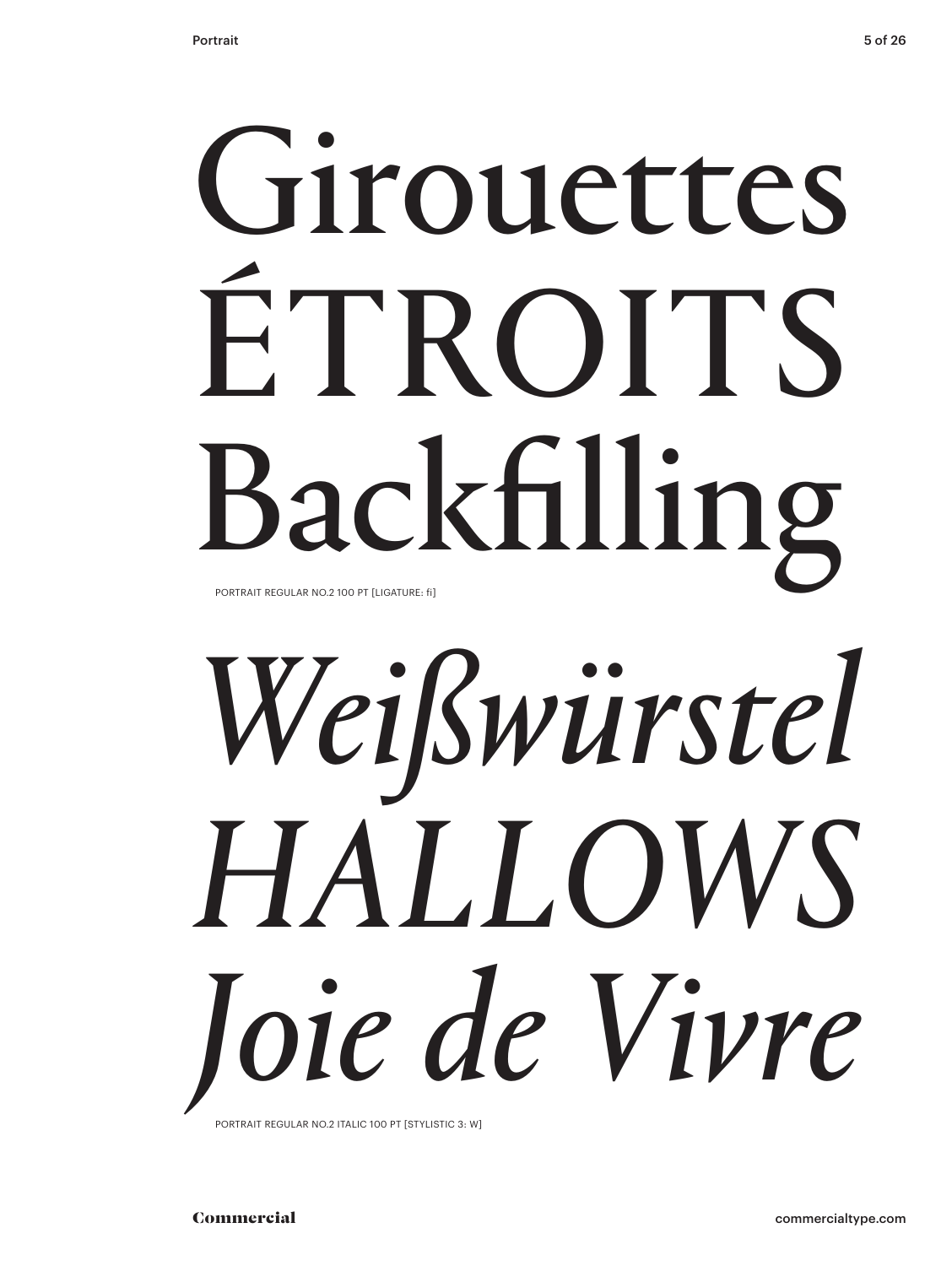## Girouettes ÉTROITS Backfilling PORTRAIT REGULAR NO.2 100 PT [LIGATURE: fi]

# *Weißwürstel HALLOWS Joie de Vivre*

PORTRAIT REGULAR NO.2 ITALIC 100 PT [STYLISTIC 3: W]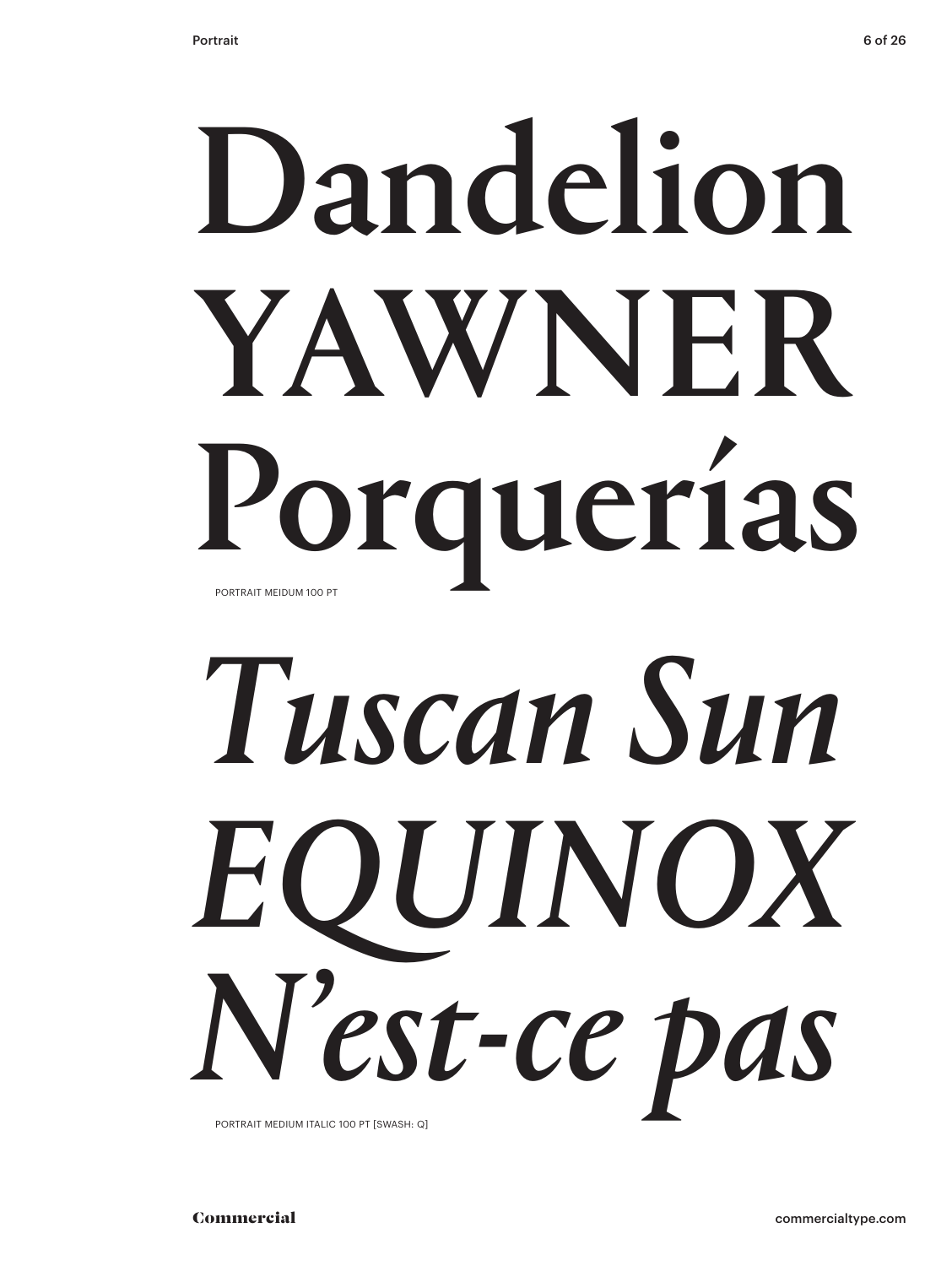## Dandelion YAWNER Porquerías PORTRAIT MEIDUM 100 PT

# *Tuscan Sun EQUINOX N'est-ce pas*

PORTRAIT MEDIUM ITALIC 100 PT [SWASH: Q]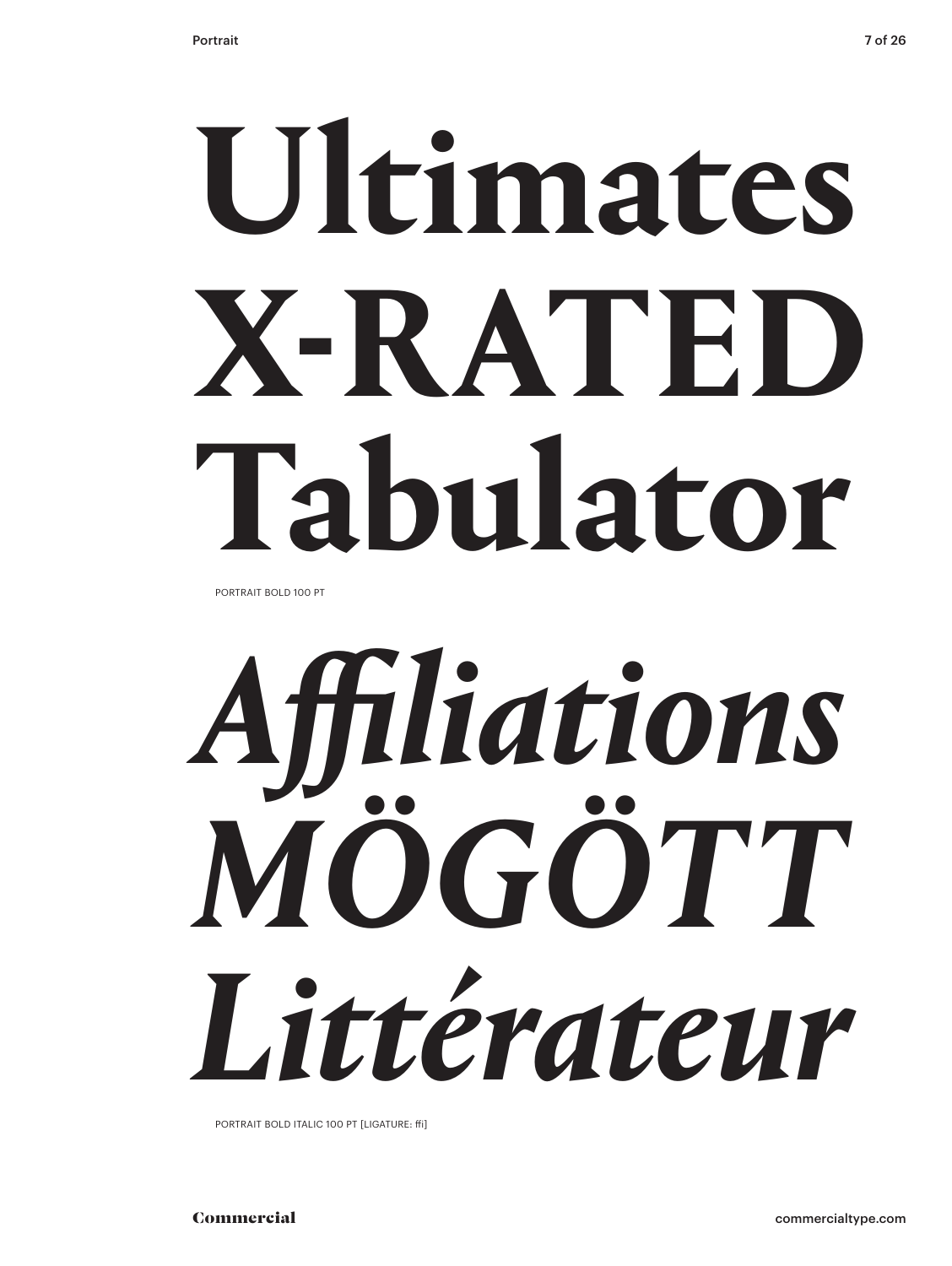# **Ultimates X-RATED Tabulator**

PORTRAIT BOLD 100 PT

*Affiliations MÖGÖTT Littérateur*

PORTRAIT BOLD ITALIC 100 PT [LIGATURE: ffi]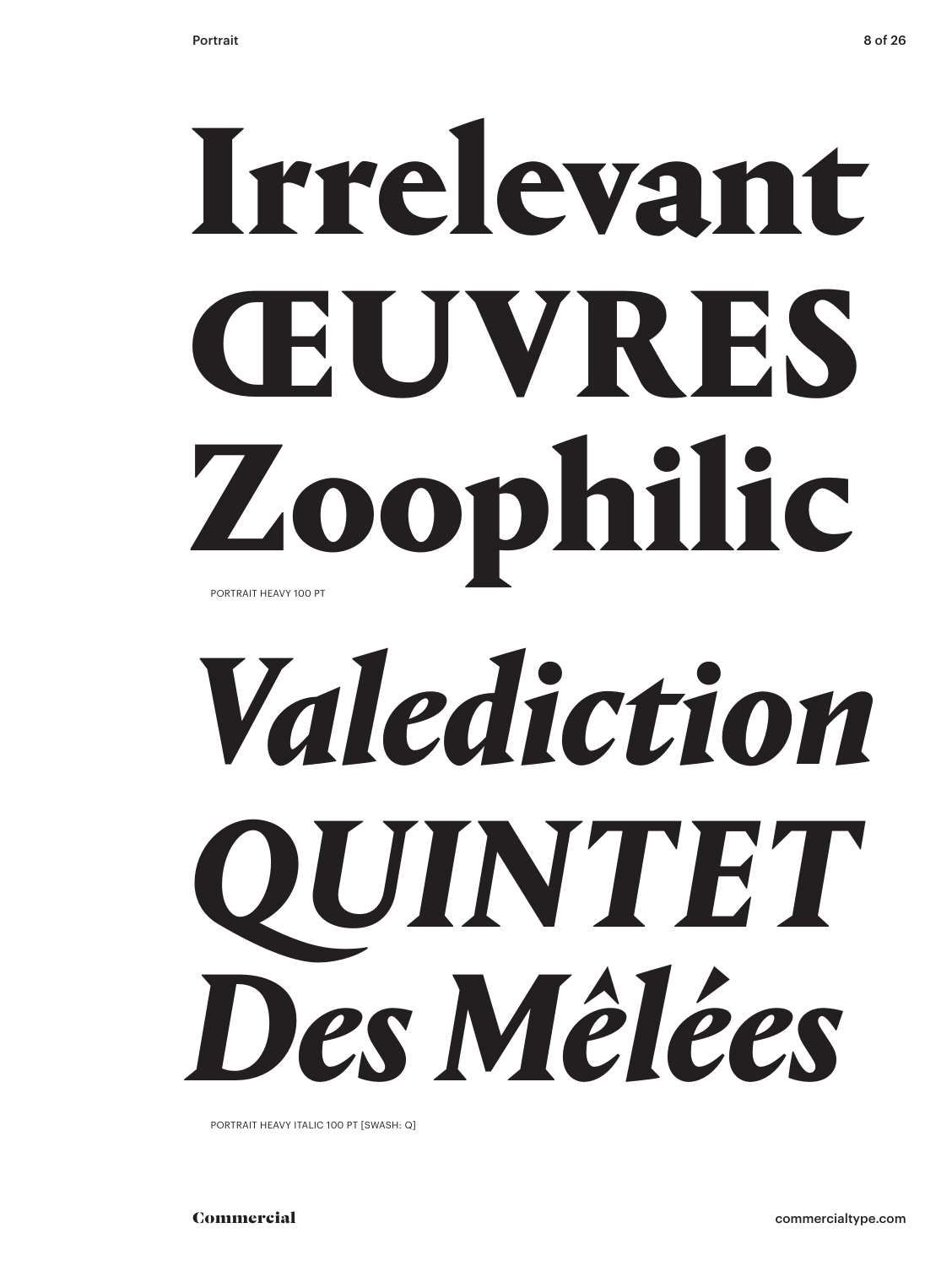## Irrelevant ŒUVRES Zoophilic PORTRAIT HEAVY 100 PT

# *Valediction QUINTET Des Mêlées*

PORTRAIT HEAVY ITALIC 100 PT [SWASH: Q]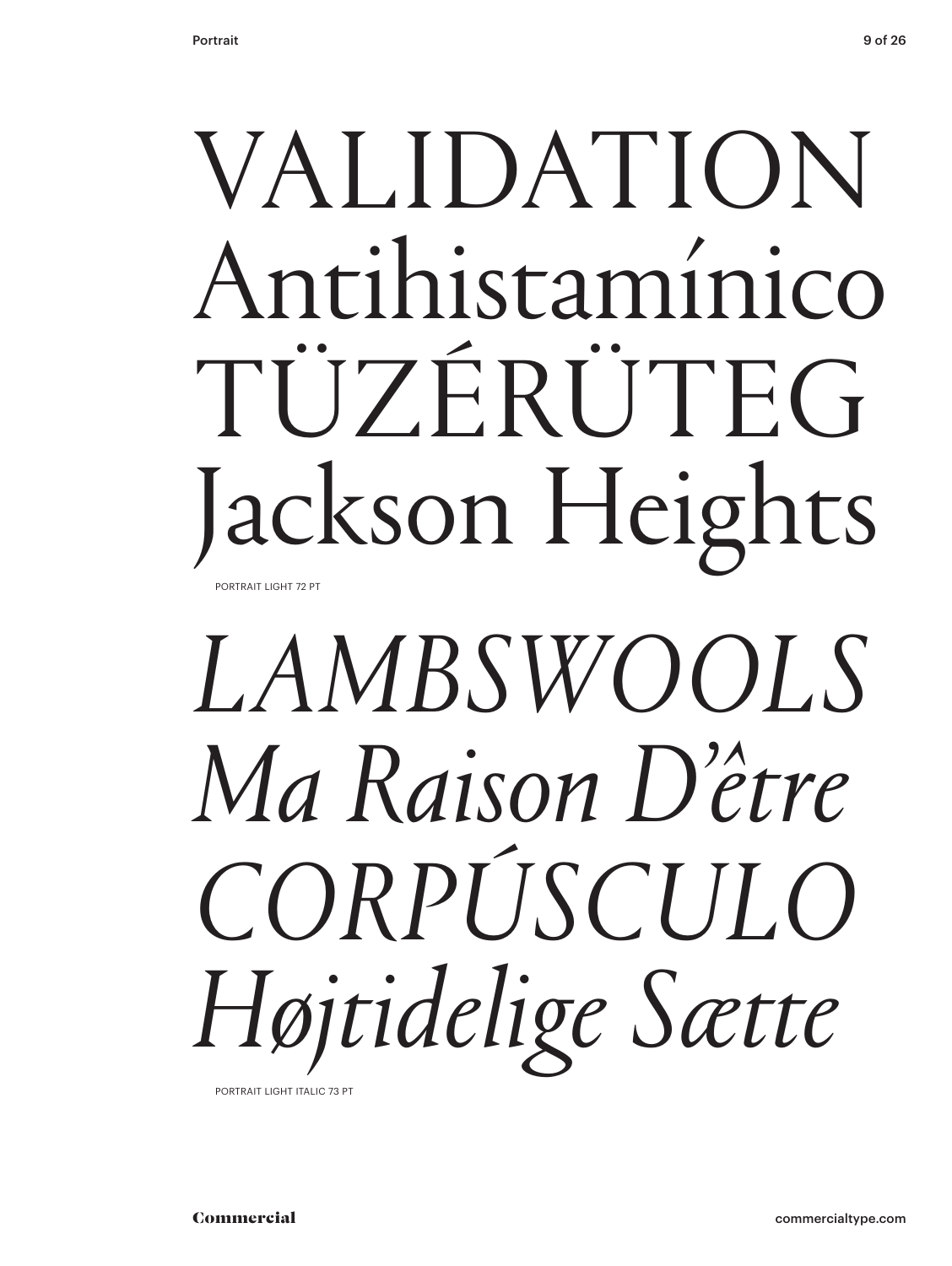### VALIDATION Antihistamínico TÜZÉRÜTEG Jackson Heights PORTRAIT LIGHT 72 PT

## *LAMBSWOOLS Ma Raison D'être CORPÚSCULO Højtidelige Sætte*

PORTRAIT LIGHT ITALIC 73 PT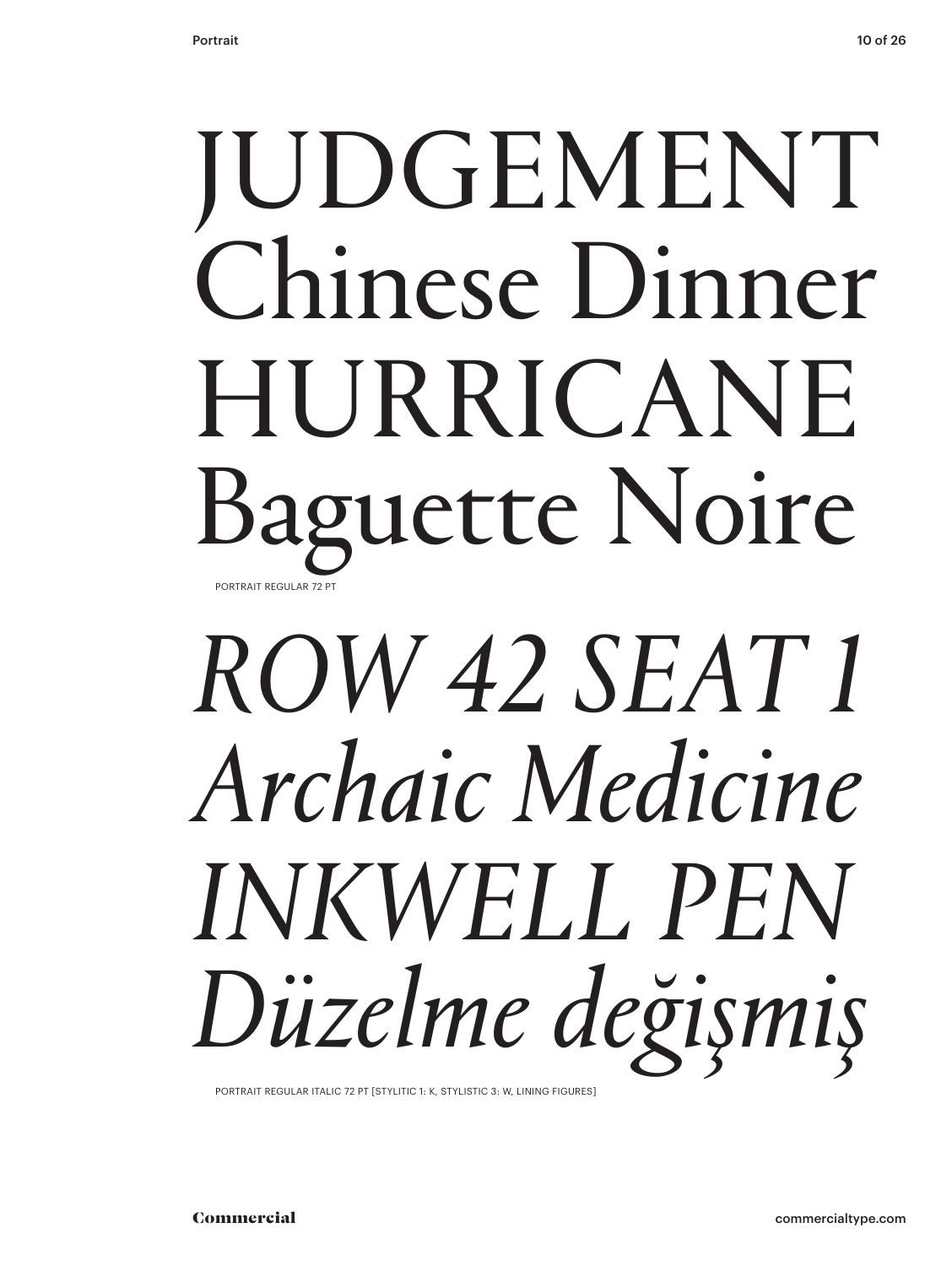### JUDGEMENT Chinese Dinner HURRICANE Baguette Noire PORTRAIT REGULAR 72 PT

## *ROW 42 SEAT 1 Archaic Medicine INKWELL PEN Düzelme değişmiş*

PORTRAIT REGULAR ITALIC 72 PT [STYLITIC 1: K, STYLISTIC 3: W, LINING FIGURES]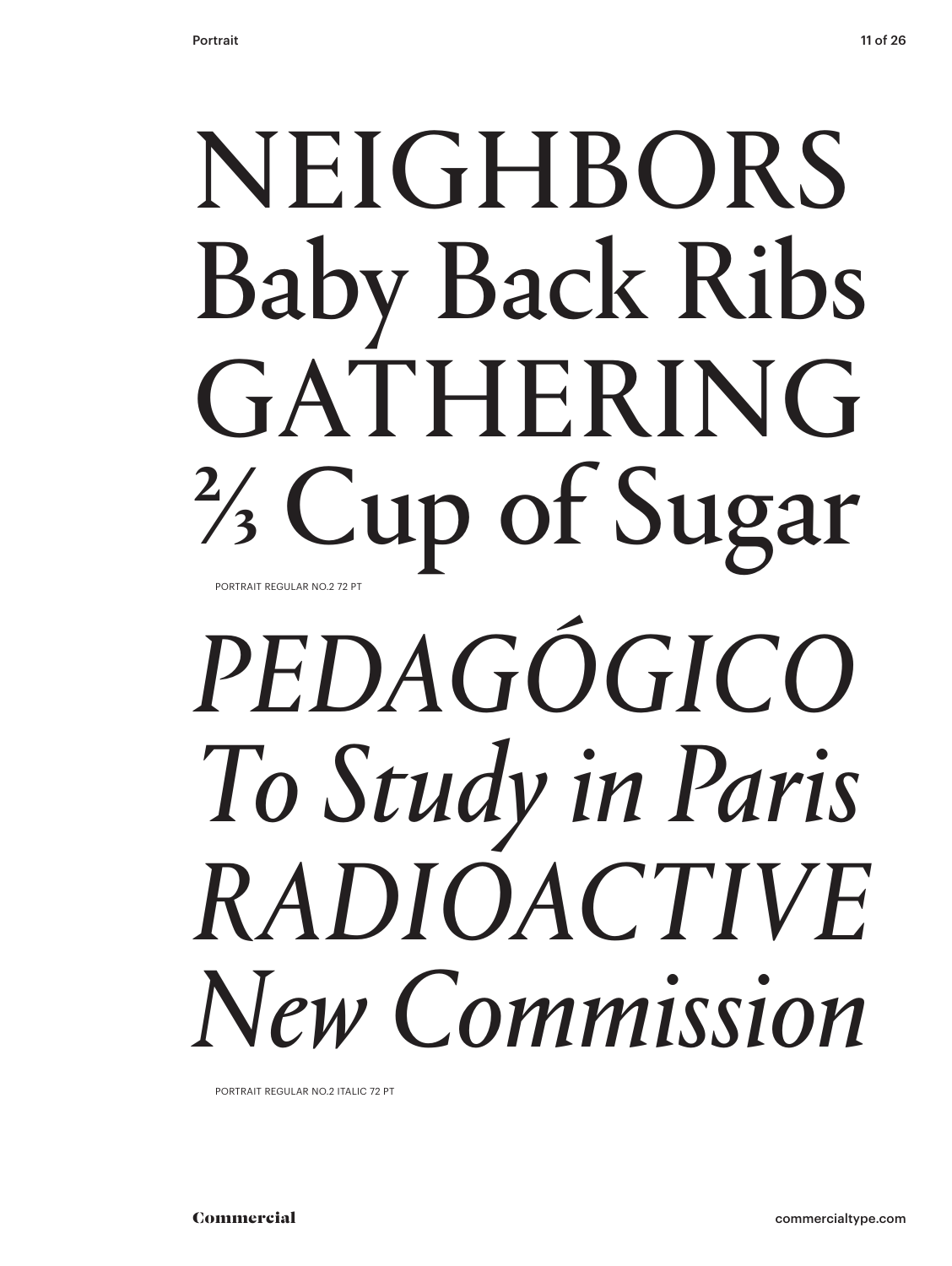### NEIGHBORS Baby Back Ribs GATHERING ⅔ Cup of Sugar PORTRAIT REGULAR NO.2 72 PT

## *PEDAGÓGICO To Study in Paris RADIOACTIVE New Commission*

PORTRAIT REGULAR NO.2 ITALIC 72 PT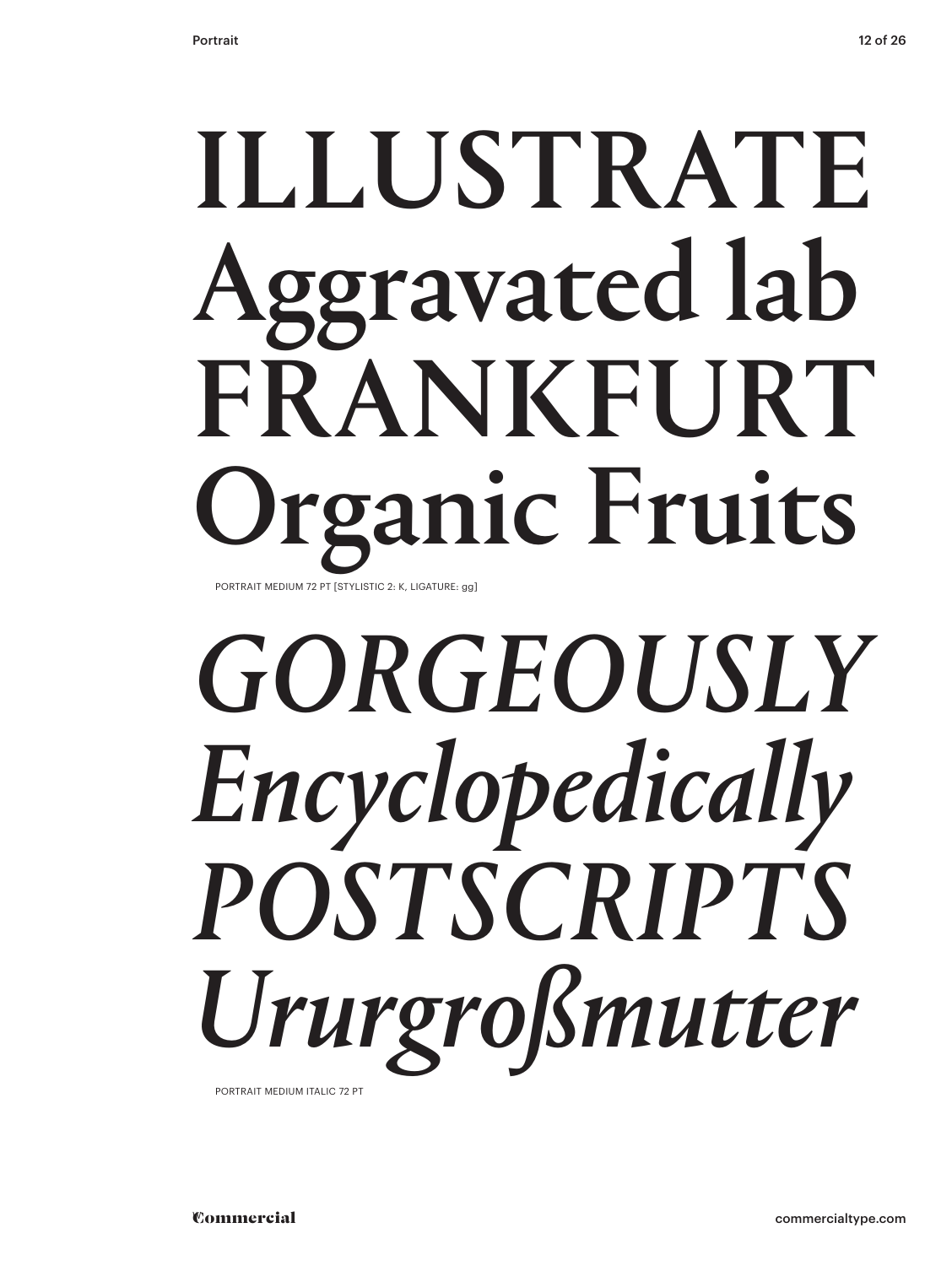### ILLUSTRATE Aggravated lab FRANKFURT rganic Fruits PORTRAIT MEDIUM 72 PT [STYLISTIC 2: K, LIGATURE: gg]

## *GORGEOUSLY Encyclopedically POSTSCRIPTS Ururgroßmutter*

PORTRAIT MEDIUM ITALIC 72 PT

**Commercial**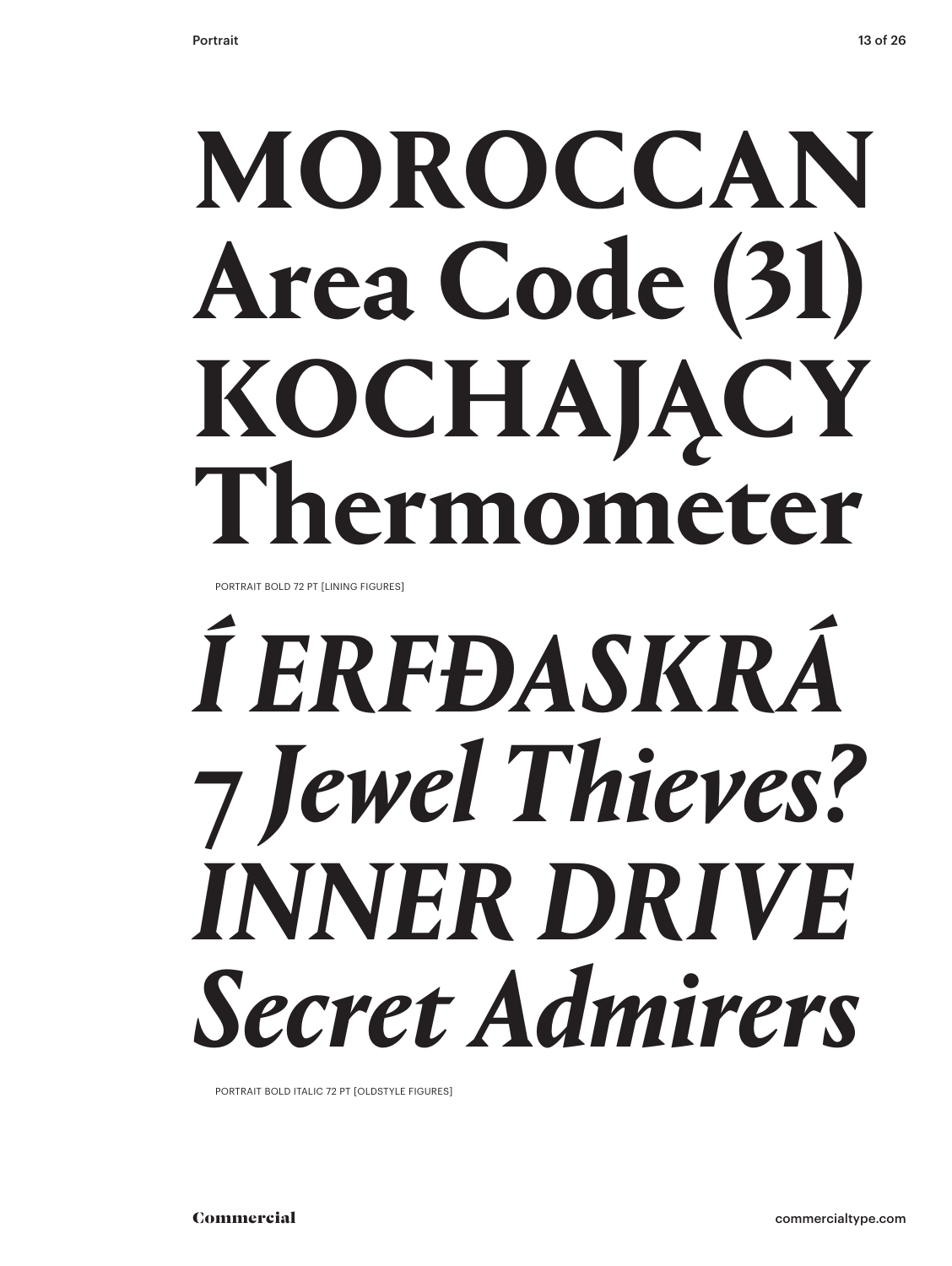## **MOROCCAN Area Code (31) KOCHAJĄCY Thermometer**

PORTRAIT BOLD 72 PT [LINING FIGURES]

## *Í ERFÐASKRÁ* **7** *Jewel Thieves? INNER DRIVE Secret Admirers*

PORTRAIT BOLD ITALIC 72 PT [OLDSTYLE FIGURES]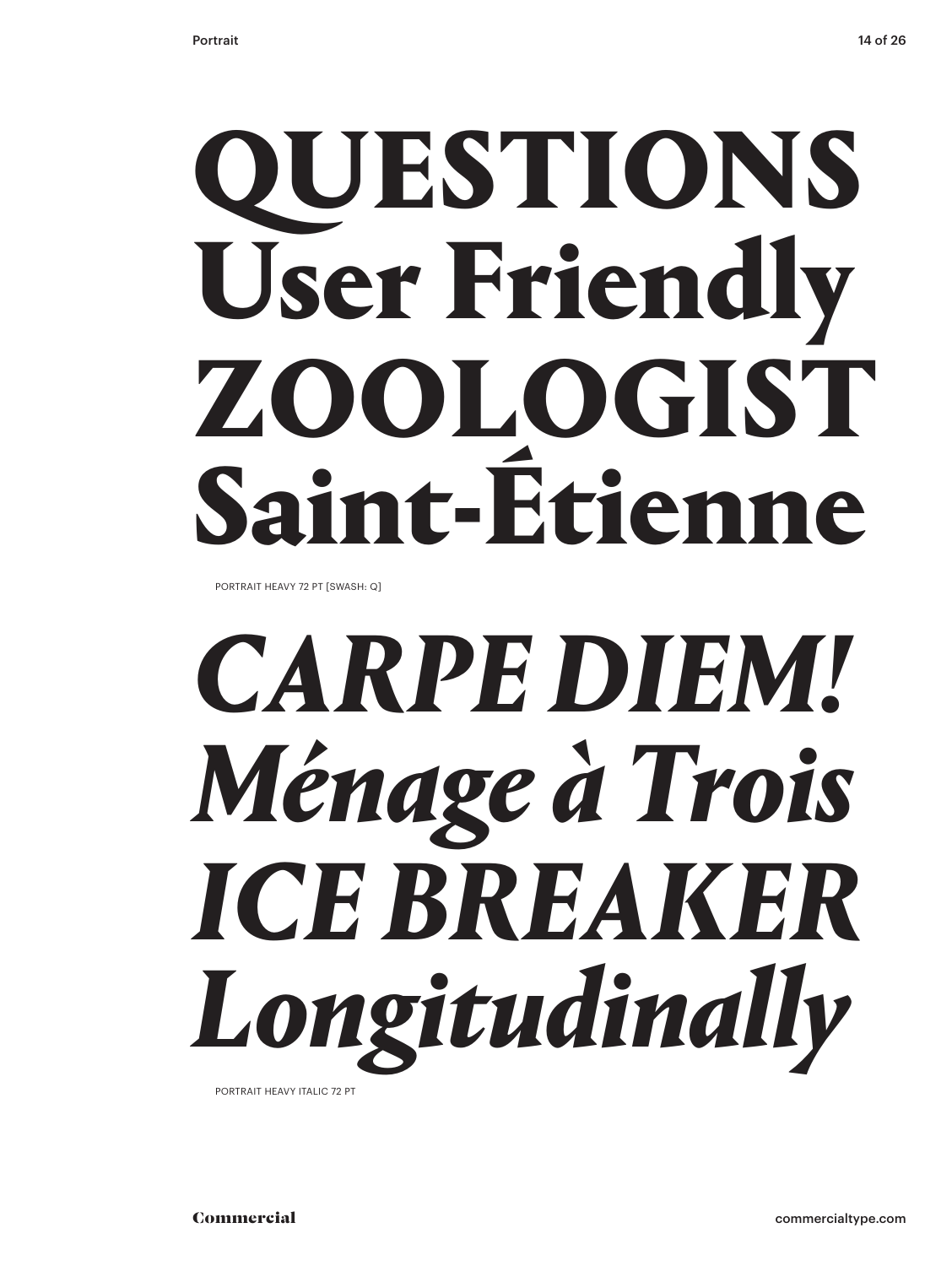## QUESTIONS User Friendly ZOOLOGIST Saint-Étienne

PORTRAIT HEAVY 72 PT [SWASH: Q]

## *CARPE DIEM! Ménage à Trois ICE BREAKER Longitudinally*

PORTRAIT HEAVY ITALIC 72 PT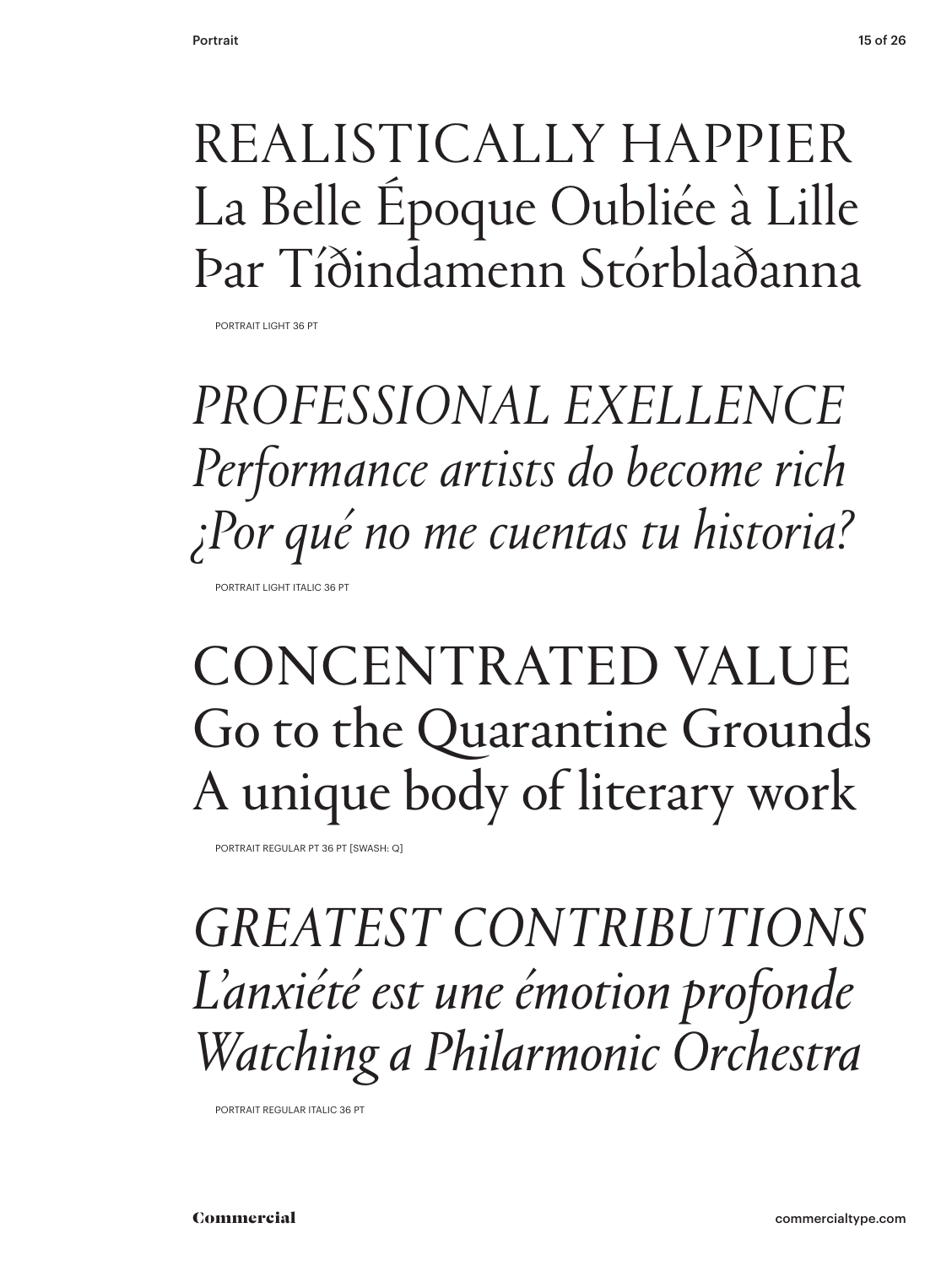#### REALISTICALLY HAPPIER La Belle Époque Oubliée à Lille Þar Tíðindamenn Stórblaðanna

PORTRAIT LIGHT 36 PT

*PROFESSIONAL EXELLENCE Performance artists do become rich ¿Por qué no me cuentas tu historia?* PORTRAIT LIGHT ITALIC 36 PT

#### CONCENTRATED VALUE Go to the Quarantine Grounds A unique body of literary work

PORTRAIT REGULAR PT 36 PT [SWASH: Q]

*GREATEST CONTRIBUTIONS L'anxiété est une émotion profonde Watching a Philarmonic Orchestra*

PORTRAIT REGULAR ITALIC 36 PT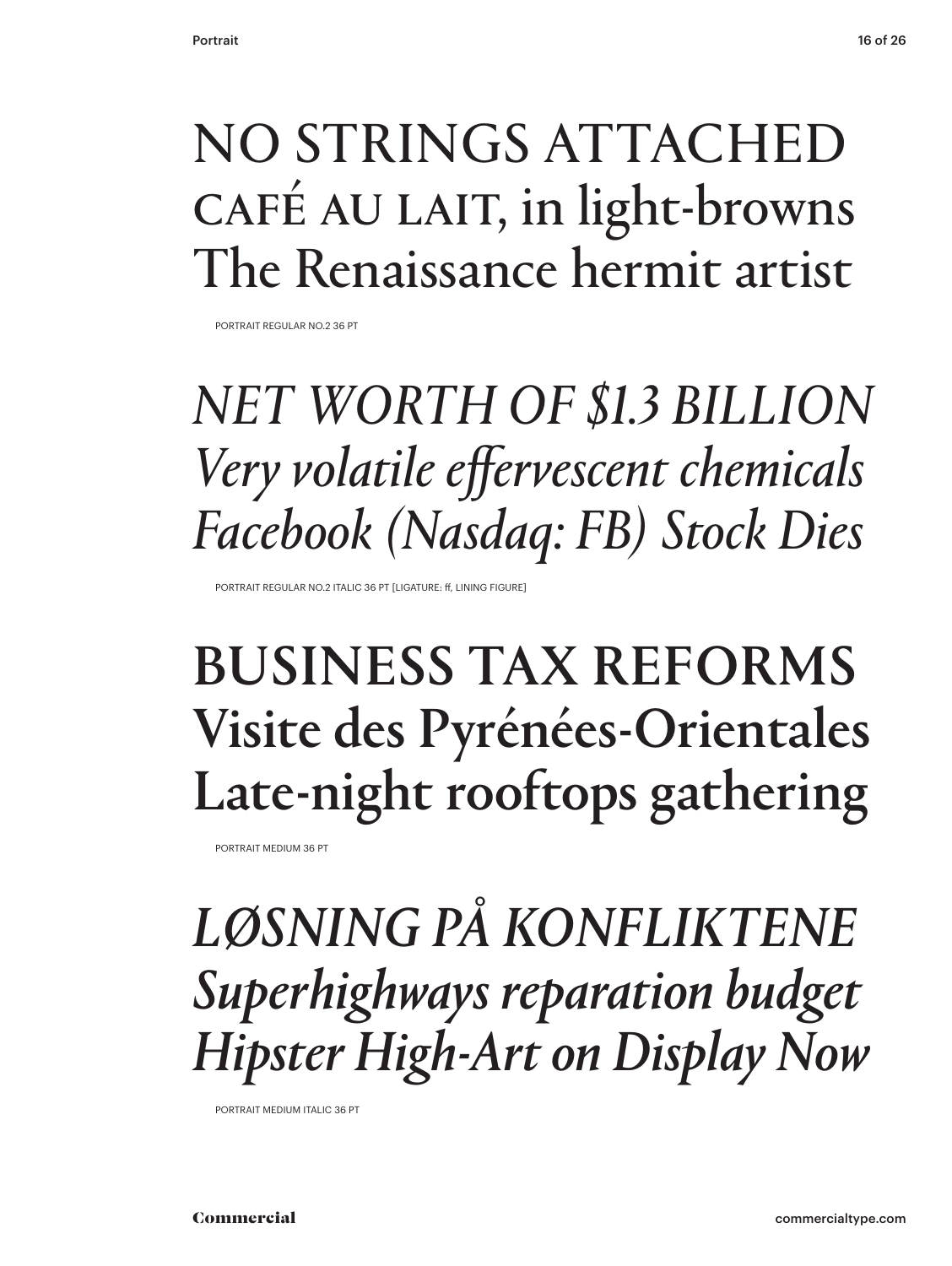#### NO STRINGS ATTACHED CAFÉ AU LAIT, in light-browns The Renaissance hermit artist

PORTRAIT REGULAR NO.2 36 PT

### *NET WORTH OF \$1.3 BILLION Very volatile effervescent chemicals Facebook (Nasdaq: FB) Stock Dies*

PORTRAIT REGULAR NO.2 ITALIC 36 PT [LIGATURE: ff, LINING FIGURE]

#### BUSINESS TAX REFORMS Visite des Pyrénées-Orientales Late-night rooftops gathering

PORTRAIT MEDIUM 36 PT

*LØSNING PÅ KONFLIKTENE Superhighways reparation budget Hipster High-Art on Display Now*

PORTRAIT MEDIUM ITALIC 36 PT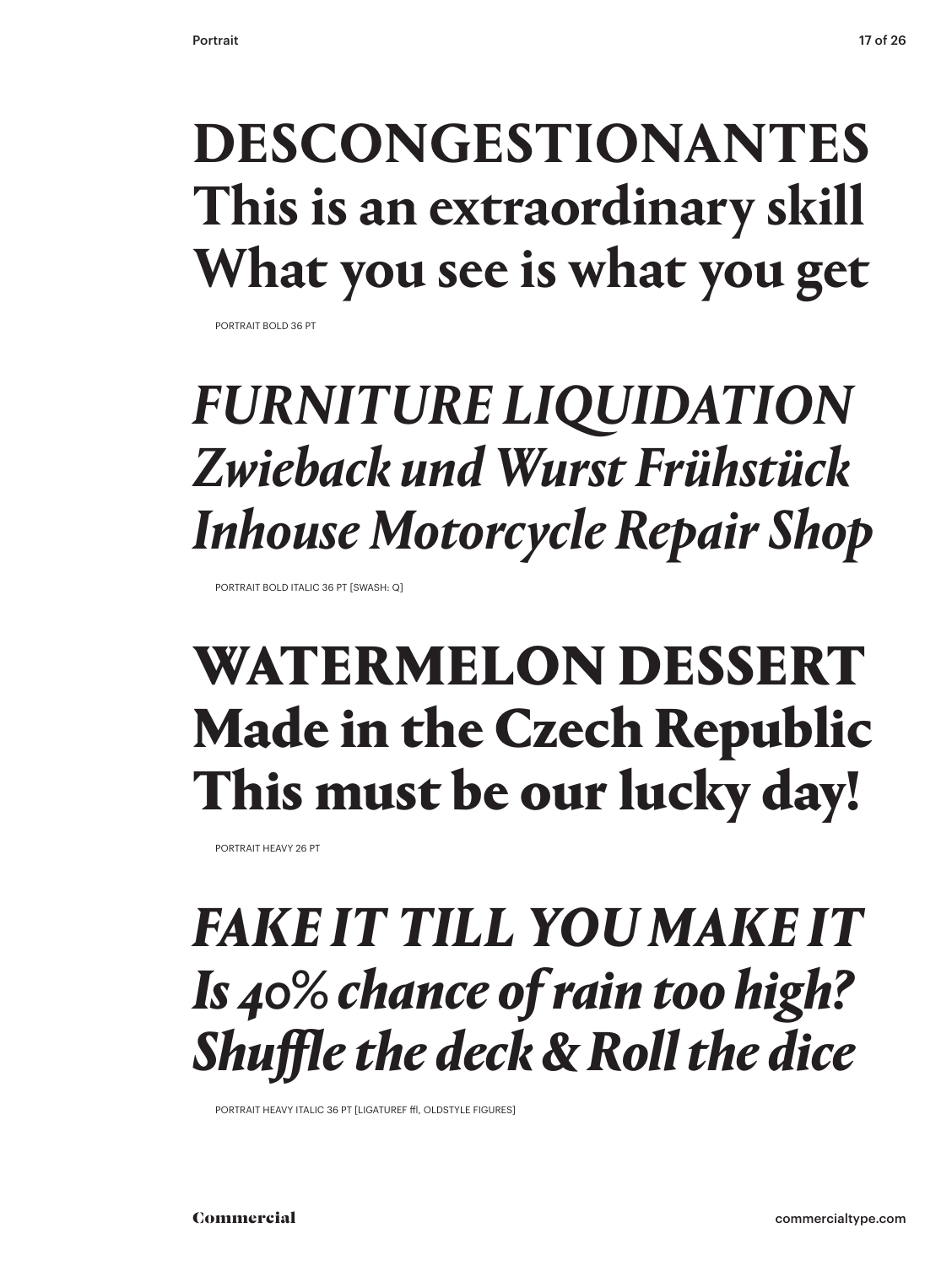### **DESCONGESTIONANTES This is an extraordinary skill What you see is what you get**

PORTRAIT BOLD 36 PT

### *FURNITURE LIQUIDATION Zwieback und Wurst Frühstück Inhouse Motorcycle Repair Shop*

PORTRAIT BOLD ITALIC 36 PT [SWASH: Q]

#### WATERMELON DESSERT Made in the Czech Republic This must be our lucky day!

PORTRAIT HEAVY 26 PT

#### *FAKE IT TILL YOU MAKE IT Is 40% chance of rain too high? Shuffle the deck & Roll the dice*

PORTRAIT HEAVY ITALIC 36 PT [LIGATUREF ffl, OLDSTYLE FIGURES]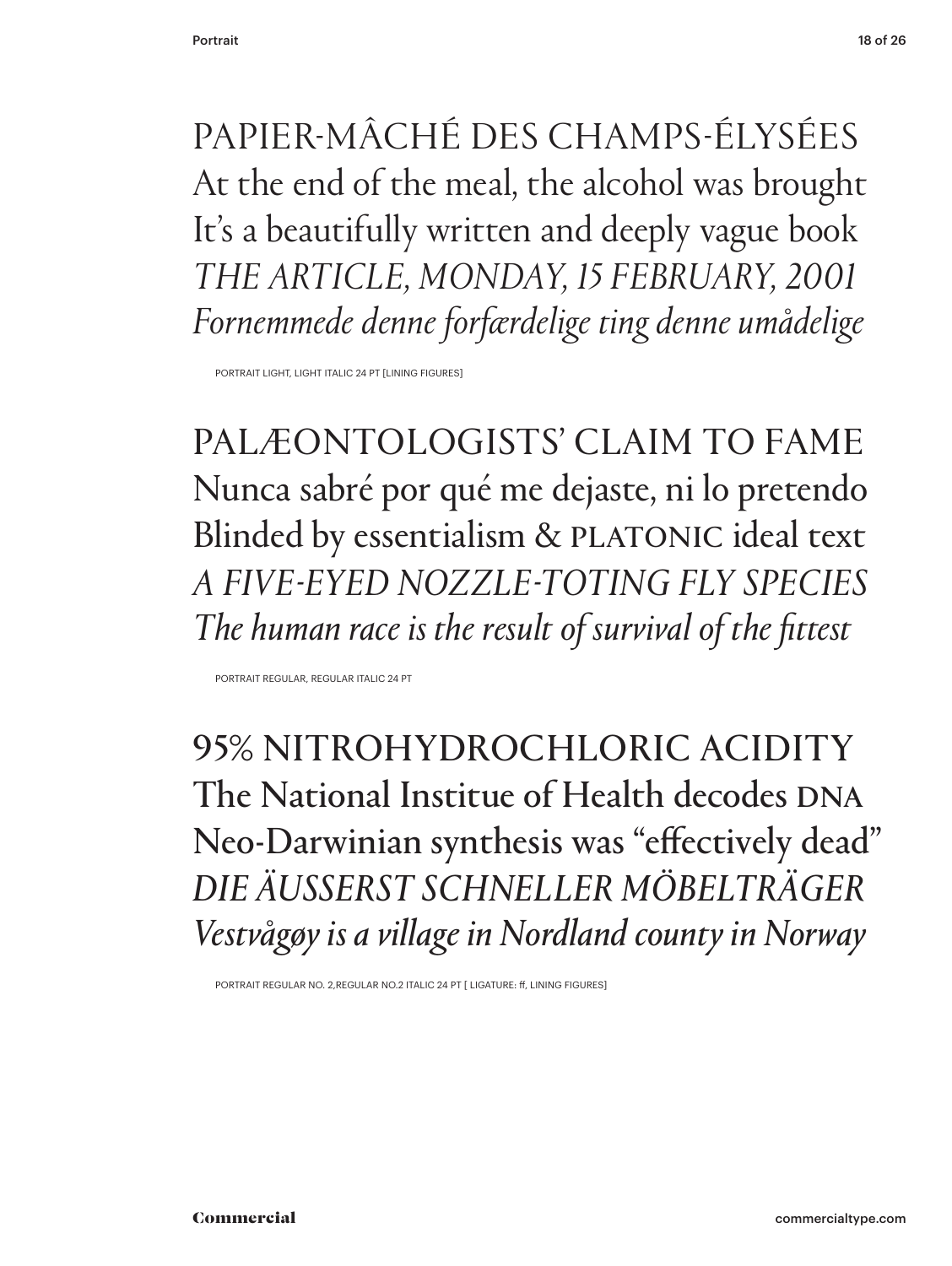PAPIER-MÂCHÉ DES CHAMPS-ÉLYSÉES At the end of the meal, the alcohol was brought It's a beautifully written and deeply vague book *THE ARTICLE, MONDAY, 15 FEBRUARY, 2001 Fornemmede denne forfærdelige ting denne umådelige*

PORTRAIT LIGHT, LIGHT ITALIC 24 PT [LINING FIGURES]

PALÆONTOLOGISTS' CLAIM TO FAME Nunca sabré por qué me dejaste, ni lo pretendo Blinded by essentialism & PLATONIC ideal text *A FIVE-EYED NOZZLE-TOTING FLY SPECIES The human race is the result of survival of the fittest*

PORTRAIT REGULAR, REGULAR ITALIC 24 PT

95% NITROHYDROCHLORIC ACIDITY The National Institue of Health decodes DNA Neo-Darwinian synthesis was "effectively dead" *DIE ÄUSSERST SCHNELLER MÖBELTRÄGER Vestvågøy is a village in Nordland county in Norway* 

PORTRAIT REGULAR NO. 2,REGULAR NO.2 ITALIC 24 PT [ LIGATURE: ff, LINING FIGURES]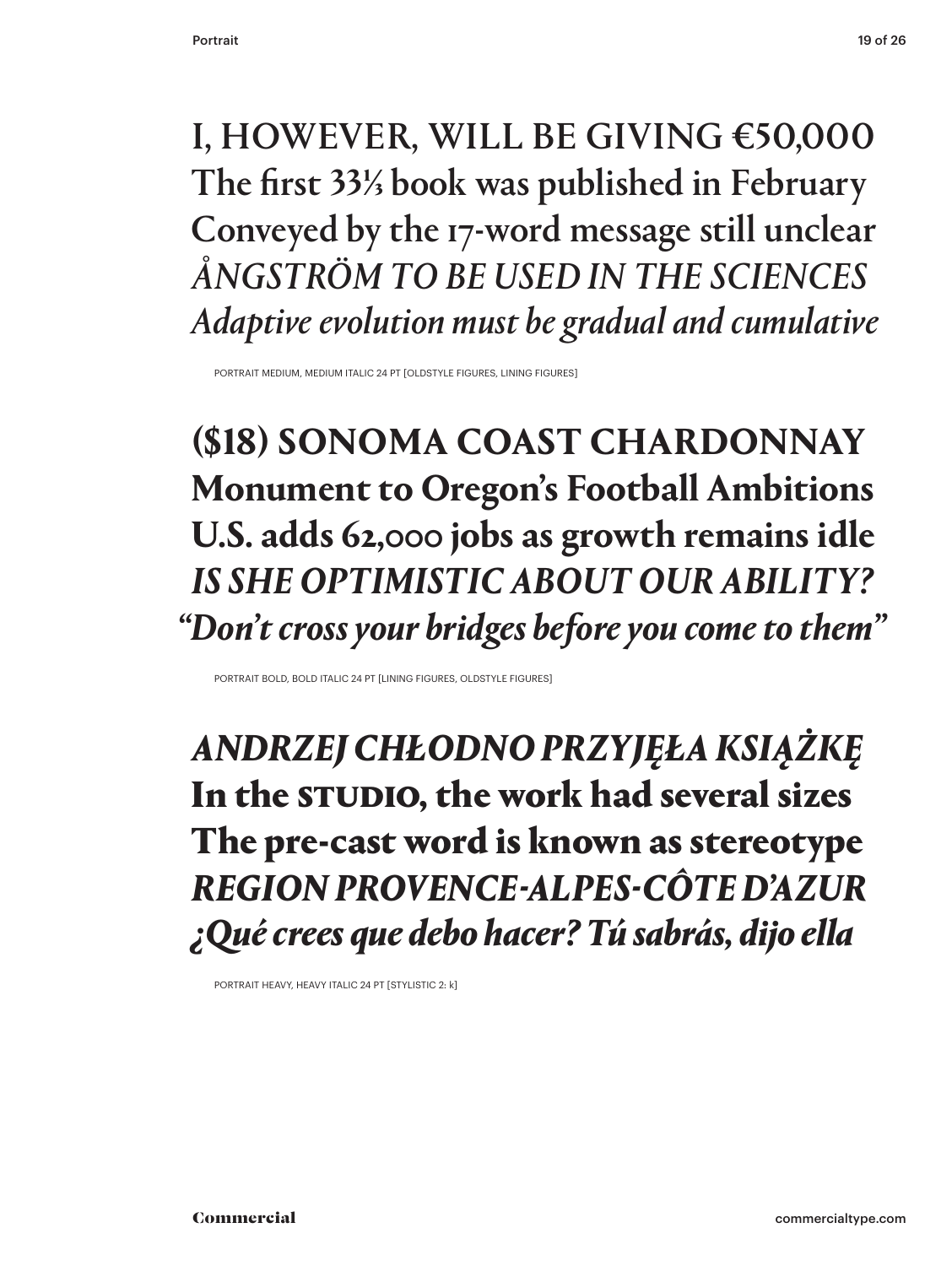#### I, HOWEVER, WILL BE GIVING €50,000 The first 33⅓ book was published in February Conveyed by the 17-word message still unclear *ÅNGSTRÖM TO BE USED IN THE SCIENCES Adaptive evolution must be gradual and cumulative*

PORTRAIT MEDIUM, MEDIUM ITALIC 24 PT [OLDSTYLE FIGURES, LINING FIGURES]

**(\$18) SONOMA COAST CHARDONNAY Monument to Oregon's Football Ambitions U.S. adds 62,000 jobs as growth remains idle** *IS SHE OPTIMISTIC ABOUT OUR ABILITY? "Don't cross your bridges before you come to them"*

PORTRAIT BOLD, BOLD ITALIC 24 PT [LINING FIGURES, OLDSTYLE FIGURES]

*ANDRZEJ CHŁODNO PRZYJĘŁA KSIĄŻKĘ*  In the STUDIO, the work had several sizes The pre-cast word is known as stereotype *REGION PROVENCE-ALPES-CÔTE D'AZUR ¿Qué crees que debo hacer? Tú sabrás, dijo ella*

PORTRAIT HEAVY, HEAVY ITALIC 24 PT [STYLISTIC 2: k]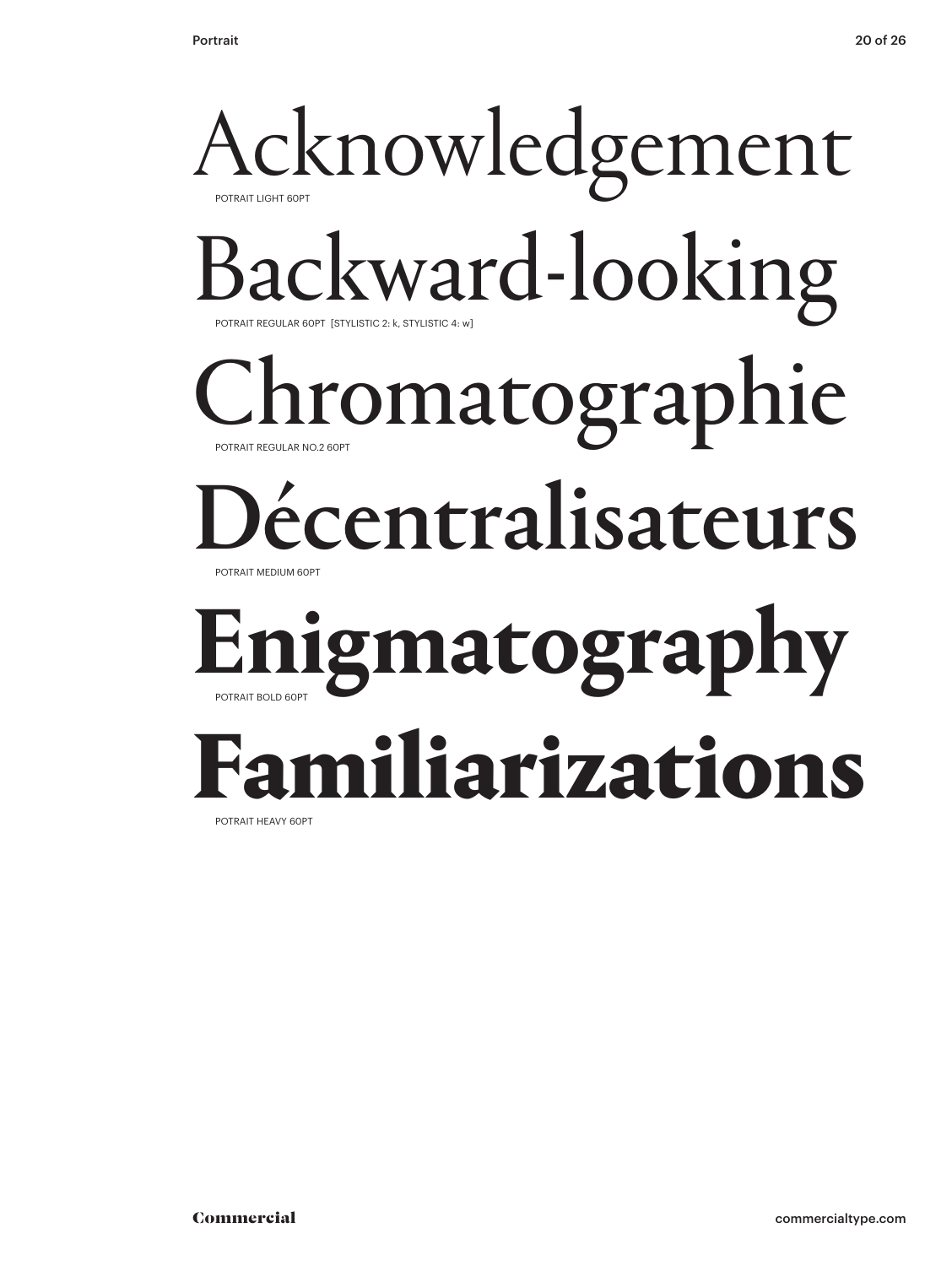### Acknowledgement POTRAIT LIGHT 60PT Backward-looking POTRAIT REGULAR 60PT [STYLISTIC 2: k, STYLISTIC 4: w] hromatographie POTRAIT REGULAR NO.2 60PT Décentralisateurs POTRAIT MEDIUM 60PT **Enigmatography** POTRAIT BOLD 60PT Familiarizations

POTRAIT HEAVY 60PT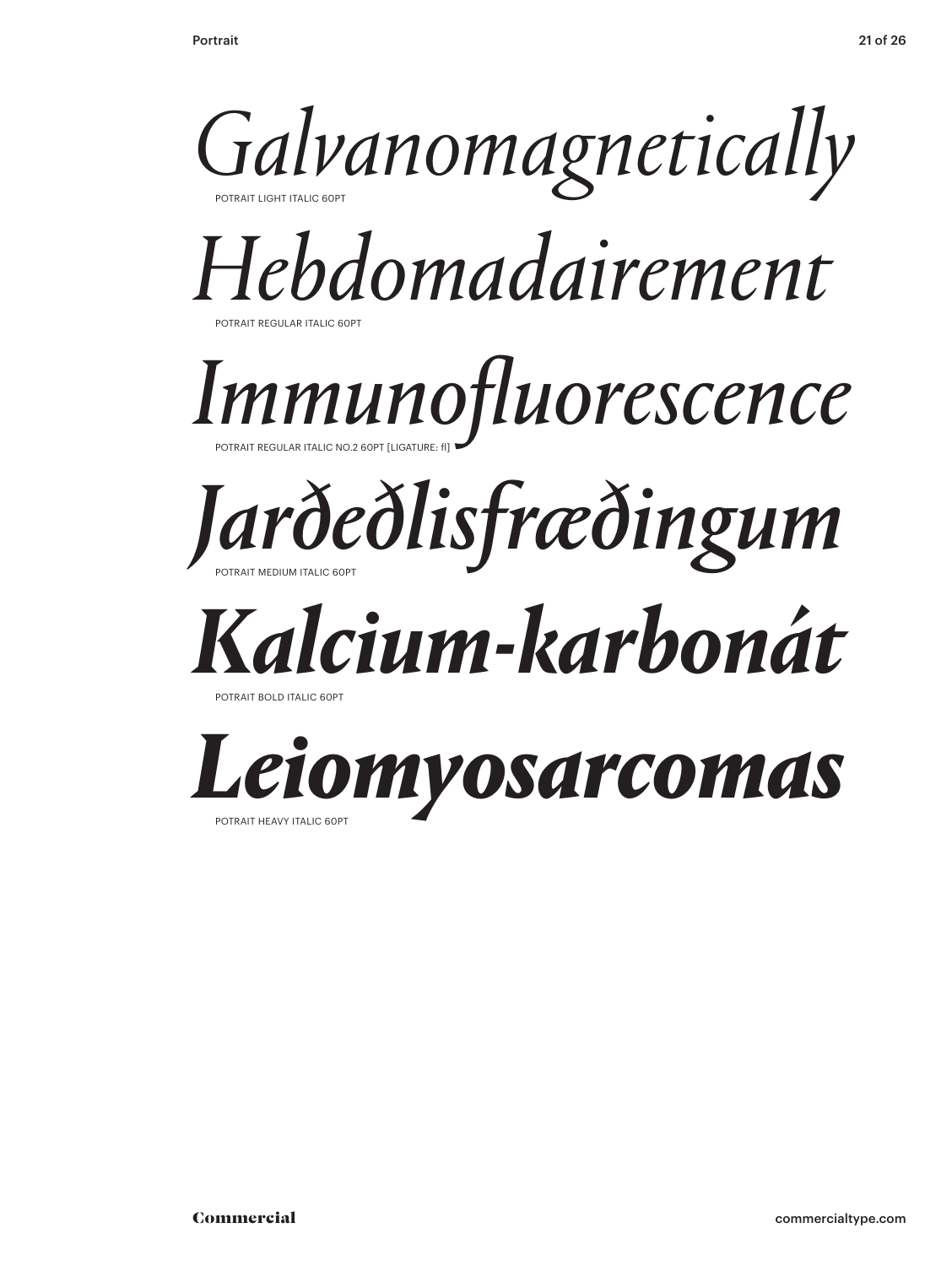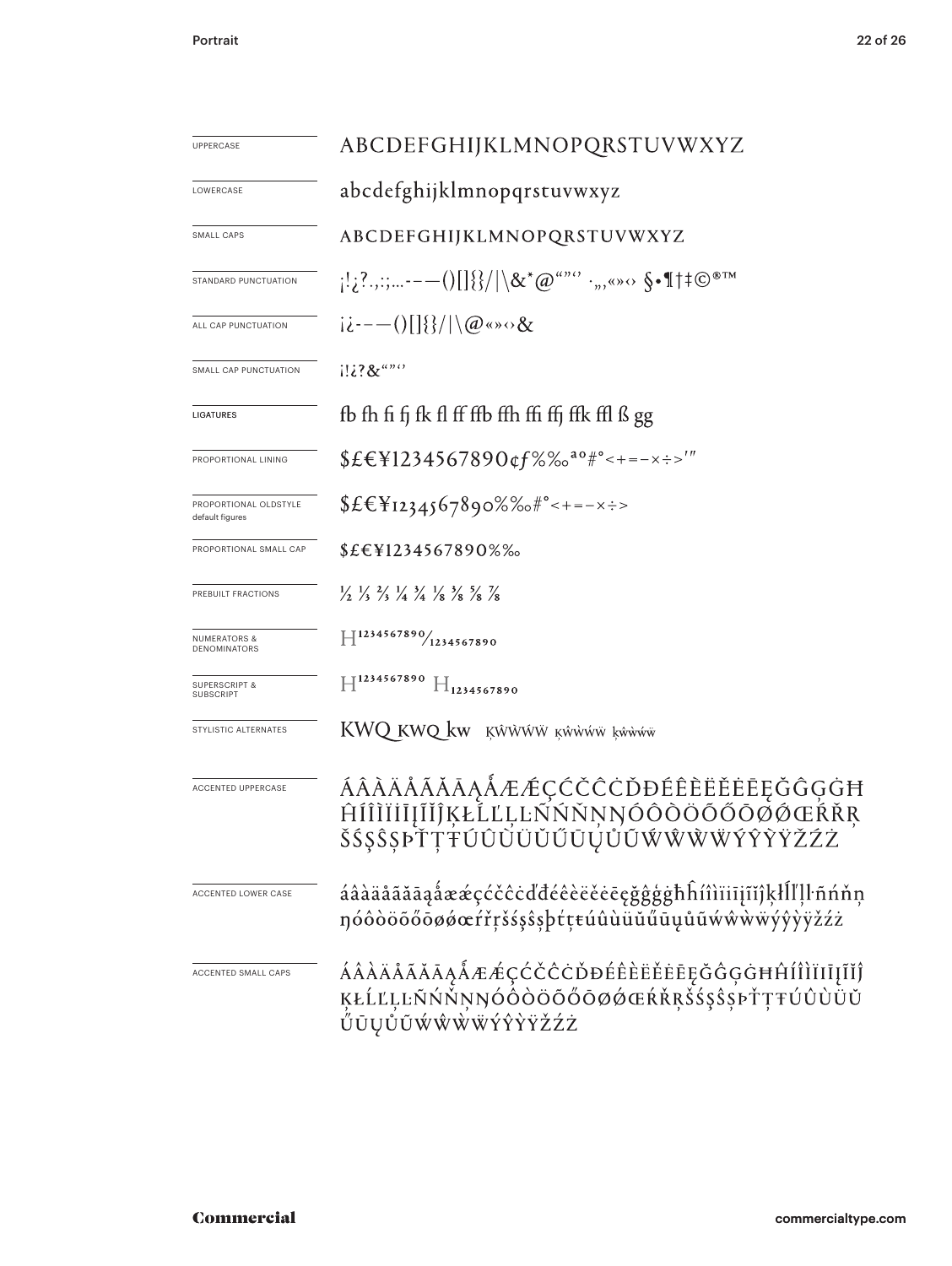| <b>UPPERCASE</b>                         | ABCDEFGHIJKLMNOPQRSTUVWXYZ                                                                                                     |
|------------------------------------------|--------------------------------------------------------------------------------------------------------------------------------|
| LOWERCASE                                | abcdefghijklmnopqrstuvwxyz                                                                                                     |
| SMALL CAPS                               | ABCDEFGHIJKLMNOPQRSTUVWXYZ                                                                                                     |
| STANDARD PUNCTUATION                     | $\{1,2^2,2^2,---()\}$ $\{1\}\}/\sqrt{\&x^*@^{a^{\prime\prime\prime\prime}}\cdot\,,\quad\text{and}\quad\$ \cdot 1^{\text{max}}$ |
| ALL CAP PUNCTUATION                      | $i\dot{\iota}$ ---()[] {}/ \@«» $\circ \&$                                                                                     |
| SMALL CAP PUNCTUATION                    | $1!i$ ?&"" $\cdot$                                                                                                             |
| LIGATURES                                | fb fh fi fj fk fl ff ffb ffh ffi ffj ffk ffl ß gg                                                                              |
| PROPORTIONAL LINING                      | $$EEY1234567890$ of %% <sup>ao #°</sup> < + = - x : ->'"                                                                       |
| PROPORTIONAL OLDSTYLE<br>default figures | $$£€Y1234567890%%*^{\circ}<+=-x\div$                                                                                           |
| PROPORTIONAL SMALL CAP                   | \$£€¥1234567890%‰                                                                                                              |
| PREBUILT FRACTIONS                       | $\frac{1}{2}$ $\frac{1}{3}$ $\frac{2}{3}$ $\frac{1}{4}$ $\frac{3}{4}$ $\frac{1}{8}$ $\frac{3}{8}$ $\frac{5}{8}$ $\frac{7}{8}$  |
| NUMERATORS &<br>DENOMINATORS             | $H^{1234567890}/_{1234567890}$                                                                                                 |
| <b>SUPERSCRIPT &amp;</b><br>SUBSCRIPT    | $\mathbb{H}^{1234567890}$ $\mathbb{H}_{1234567890}$                                                                            |
| STYLISTIC ALTERNATES                     | KWQ KWQ kw KŴŴŴŴ KŴŴŴŴ kŵŵw                                                                                                    |
| <b>ACCENTED UPPERCASE</b>                | ÁÂÀÄÅĂĂĂĄÅÆÆÇĆČĊĎĐÉÊÈËĖĖĘĞĜĢĠĦ<br>ĤĺÎÌĨĬĨĮĨĬĴĶŁĹĽĻĿÑŃŇŅŊÓÔÒÖŐŐŌØØŒŔŘŖ<br>ŠŚŞŜŞÞŤŢŦÚÛŬŬŬŬŨŲŮŨŴŴŴŴÝŶŶŸŽŹŻ                        |
| ACCENTED LOWER CASE                      | áâàäåãăāąåææçćčĉċďđéêèëěeęğĝģġħĥíîìïiījĩĭĵķłĺľḷŀñńňņ<br>nóôòöõőōøøœŕřŗšśşŝşþťţŧúûùüŭűūųůũẃŵẁẅýŷỳÿžźż                           |
| ACCENTED SMALL CAPS                      | ÁÂÀÄÅÃĂĀĄÅÆÆÇĆČĈĊĎĐÉÊÈËĔĒĘĞĜĢĠĦĤÍÎÌĬIJĮĨĬĴ<br>ĶŁĹĽĻĿŃŃŇŅŊÓÔŎÖŐŐŌØŐŒŔŘŖŠŚŞŜŞÞŤŢŦÚÛÙÜŬ<br>ŰŪŲŮŨŴŴŴŴŸŶŶŸŽŹŻ                       |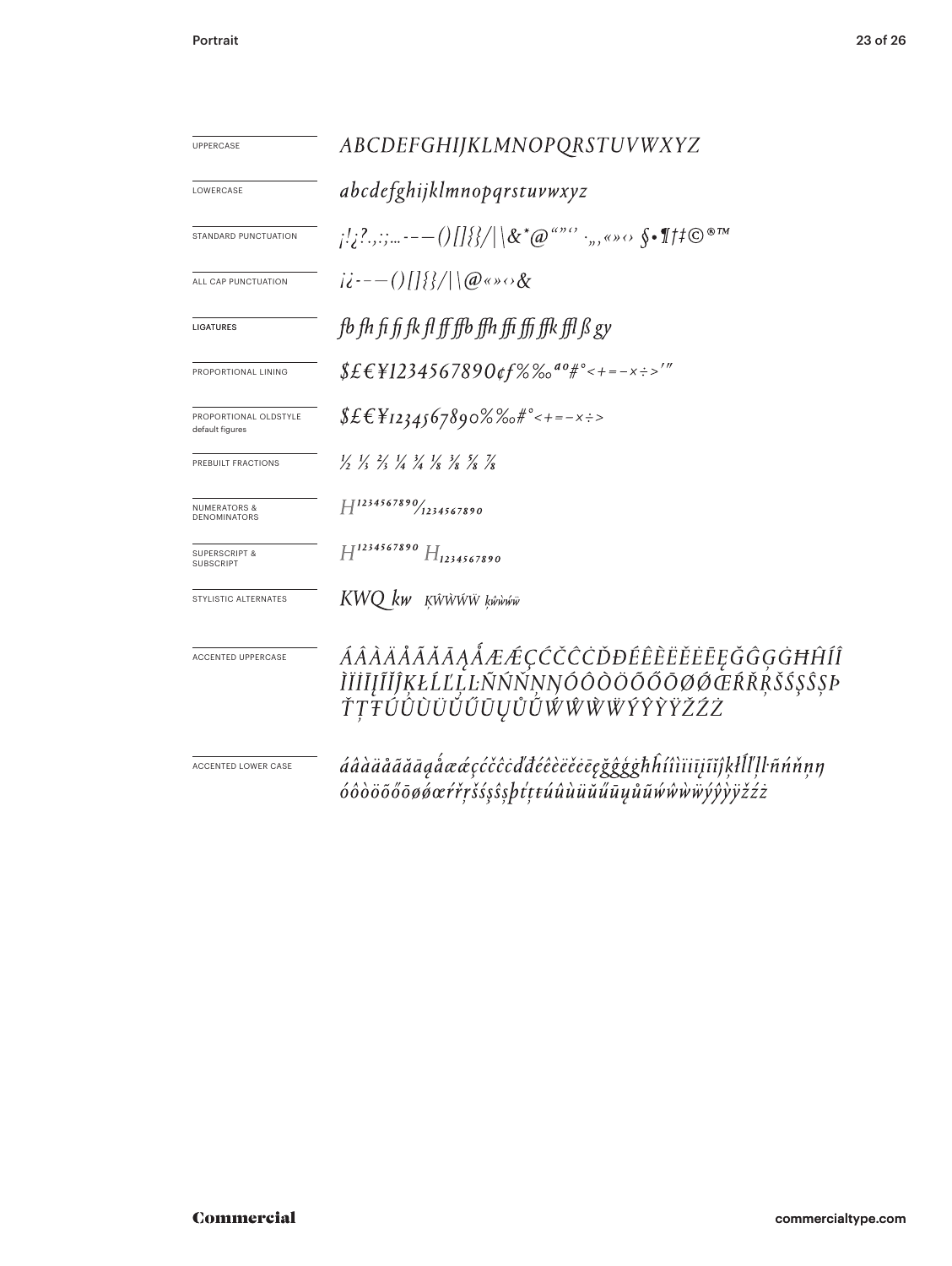| <b>UPPERCASE</b>                             | ABCDEFGHIJKLMNOPQRSTUVWXYZ                                                                                                                                                                                                                                                                                                                                                                |
|----------------------------------------------|-------------------------------------------------------------------------------------------------------------------------------------------------------------------------------------------------------------------------------------------------------------------------------------------------------------------------------------------------------------------------------------------|
| LOWERCASE                                    | abcdefghijklmnopqrstuvwxyz                                                                                                                                                                                                                                                                                                                                                                |
| STANDARD PUNCTUATION                         | $\{C_{i_1}, C_{i_2}, \ldots, C_{i_{N-1}}\} \cup \{C_{i_{N}}\} \cup \{C_{i_1}\} \cup \{C_{i_2}\} \cup \{C_{i_3}\} \cup \{C_{i_{N}}\} \cup \{C_{i_{N}}\} \cup \{C_{i_{N}}\}$                                                                                                                                                                                                                |
| ALL CAP PUNCTUATION                          | $ii^{--}$ ()[[{{ \ \@«» $\circ \&$                                                                                                                                                                                                                                                                                                                                                        |
| <b>LIGATURES</b>                             | fb fh fi fi fk fl ff ffb ffh ffi ffi ffk ffl $\beta$ gy                                                                                                                                                                                                                                                                                                                                   |
| PROPORTIONAL LINING                          | $$EEY1234567890$ of $%$ $\%$ <sup>0</sup> #° < + = - x ÷ >'"                                                                                                                                                                                                                                                                                                                              |
| PROPORTIONAL OLDSTYLE<br>default figures     | $$EEY_{1234567890}\%$ %+---x:>                                                                                                                                                                                                                                                                                                                                                            |
| PREBUILT FRACTIONS                           | $\frac{1}{2}$ $\frac{1}{3}$ $\frac{2}{3}$ $\frac{1}{4}$ $\frac{3}{4}$ $\frac{1}{8}$ $\frac{3}{8}$ $\frac{5}{8}$ $\frac{7}{8}$                                                                                                                                                                                                                                                             |
| <b>NUMERATORS &amp;</b><br>DENOMINATORS      | $H^{1234567890}$ (1234567890)                                                                                                                                                                                                                                                                                                                                                             |
| <b>SUPERSCRIPT &amp;</b><br><b>SUBSCRIPT</b> | $H^{1234567890}$ $H_{1234567890}$                                                                                                                                                                                                                                                                                                                                                         |
| STYLISTIC ALTERNATES                         | KWQ kw KŴŴŴŴ ķŵŵŵŵ                                                                                                                                                                                                                                                                                                                                                                        |
| <b>ACCENTED UPPERCASE</b>                    | ÁÂÀÄÅÃĂĀĄÅÆÆÇĆČĈĊĎĐÉÊÈËĔĒĘĞĜĢĠĦĤÍÎ<br>ÌĬİĬĮĨĬĴĶŁĹĽĻĿÑŃŇŅŊÓÔÒÖŐŐŌØ <i>ŎŒŔ</i> ŘŖŠŚŞŜŞÞ<br>ŤŢŦÚÛŨŨŬŰŨŲŮŨŴŴŴŴŶŶŶŸŽŹŻ                                                                                                                                                                                                                                                                         |
| ACCENTED LOWER CASE                          | áâàäåãăāaåææçćčĉcďđéêèëěeegğĝģghhíîìïiījĩĭĵķłĺľḷŀñńňṇŋ<br>$\acute{o} \hat{o} \grave{o} \ddot{o} \tilde{o} \tilde{o} \tilde{o} \phi \alpha \acute{r} \acute{r} \gamma \acute{s} \acute{s} \S \beta \acute{r} \xi \epsilon \acute{u} \hat{u} \grave{u} \ddot{u} \ddot{u} \ddot{u} \ddot{u} \mu \ddot{u} \dot{w} \dot{w} \dot{w} \ddot{w} \dot{y} \dot{y} \ddot{y} \ddot{z} \dot{z} \dot{z}$ |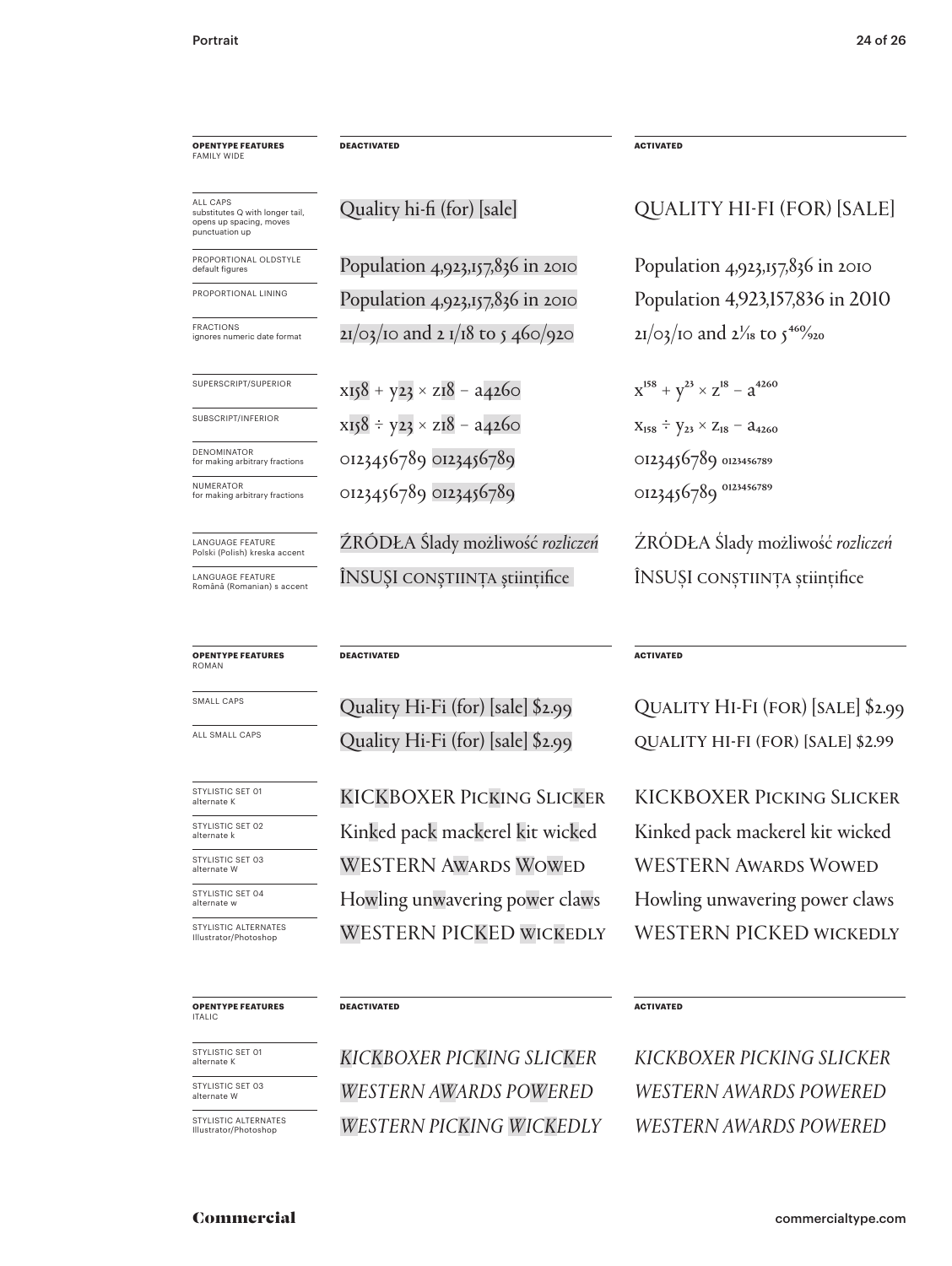**OPENTYPE FEATURES FAMILY WID** 

ALL CAPS substitutes Q with longer tail, opens up spacing, moves punctuation up

PROPORTIONAL OLDSTYLE default figures

PROPORTIONAL LINING

LANGUAGE FEATURE Polski (Polish) kreska accent

LANGUAGE FEATURE Română (Romanian) s accent

#### **OPENTYPE FEATURES** ROMAN

SMALL CAPS

ALL SMALL CAPS

STYLISTIC SET 01 alternate K STYLISTIC SET 02

STYLISTIC SET 03 alternate k

alternate W

STYLISTIC SET 04 alternate w

STYLISTIC ALTERNATES Illustrator/Photoshop

**DEACTIVATED**

Quality hi-fi (for) [sale]

Population 4,923,157,836 in 2010 Population 4,923,157,836 in 2010 FRACTIONS  $\frac{1}{2}$  FRACTIONS  $\frac{1}{2}$  and  $\frac{21}{03}$  to  $\frac{1}{2}$   $\frac{1}{18}$  to  $\frac{460}{920}$   $\frac{21}{03}$  to  $\frac{1}{9}$  and  $\frac{1}{18}$  to  $\frac{460}{920}$ 

superscript/superior  $x158 + y23 \times z18 - a4260$   $x^{158} + y^{23} \times z^{18} - a^{4260}$ subscript/inferior  $x_{158} \div y_{23} \times z_{18} - a_{4260}$   $x_{158} \div y_{23} \times z_{18} - a_{4260}$ NUMERATOR (DI23456789 OI23456789 OI23456789 OI23456789 OI23456789 OI23456789 0123456789 0123456789 DENOMINATOR for making arbitrary fractions 0123456789 0123456789

> ŹRÓDŁA Ślady możliwość *rozliczeń* ÎNSUŞI conştiinţa ştiinţifice

**DEACTIVATED**

Quality Hi-Fi (for) [sale] \$2.99 Quality Hi-Fi (for) [sale] \$2.99

KICKBOXER Picking Slicker WESTERN Awards Wowed Kinked pack mackerel kit wicked WESTERN PICKED WICKEDLY Howling unwavering power claws

**ACTIVATED**

**ACTIVATED**

Quality Hi-Fi (for) [sale] \$2.99 Quality Hi-Fi (for) [sale] \$2.99

ŹRÓDŁA Ślady możliwość *rozliczeń*

ÎNSUŞI conştiinţa ştiinţifice

Population 4,923,157,836 in 2010

Population 4,923,157,836 in 2010

QUALITY HI-FI (FOR) [SALE]

KICKBOXER Picking Slicker WESTERN AWARDS WOWED Kinked pack mackerel kit wicked WESTERN PICKED WICKEDLY Howling unwavering power claws

#### **OPENTYPE FEATURES** ITALIC

STYLISTIC SET 01 alternate K

STYLISTIC SET 03 alternate W

STYLISTIC ALTERNATES Illustrator/Phot

#### **DEACTIVATED**

*KICKBOXER PICKING SLICKER WESTERN AWARDS POWERED WESTERN PICKING WICKEDLY* **ACTIVATED**

*KICKBOXER PICKING SLICKER WESTERN AWARDS POWERED WESTERN AWARDS POWERED*